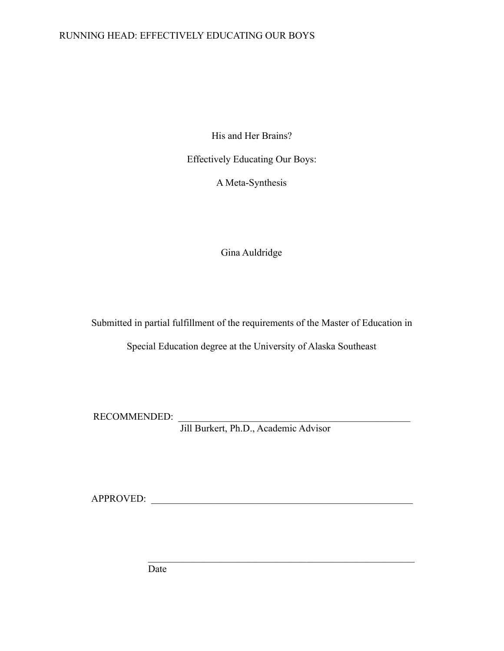# RUNNING HEAD: EFFECTIVELY EDUCATING OUR BOYS

His and Her Brains?

Effectively Educating Our Boys:

A Meta-Synthesis

Gina Auldridge

Submitted in partial fulfillment of the requirements of the Master of Education in

Special Education degree at the University of Alaska Southeast

RECOMMENDED:

Jill Burkert, Ph.D., Academic Advisor

APPROVED:

 $\mathcal{L}_\text{max}$  and the contract of the contract of the contract of the contract of the contract of the contract of the contract of the contract of the contract of the contract of the contract of the contract of the contrac

Date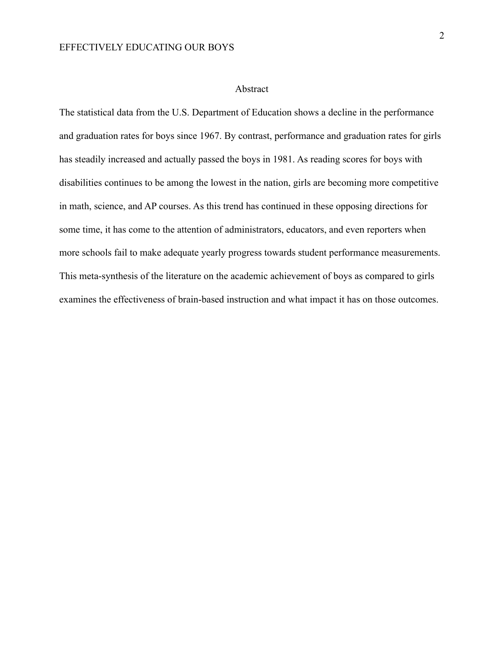#### Abstract

The statistical data from the U.S. Department of Education shows a decline in the performance and graduation rates for boys since 1967. By contrast, performance and graduation rates for girls has steadily increased and actually passed the boys in 1981. As reading scores for boys with disabilities continues to be among the lowest in the nation, girls are becoming more competitive in math, science, and AP courses. As this trend has continued in these opposing directions for some time, it has come to the attention of administrators, educators, and even reporters when more schools fail to make adequate yearly progress towards student performance measurements. This meta-synthesis of the literature on the academic achievement of boys as compared to girls examines the effectiveness of brain-based instruction and what impact it has on those outcomes.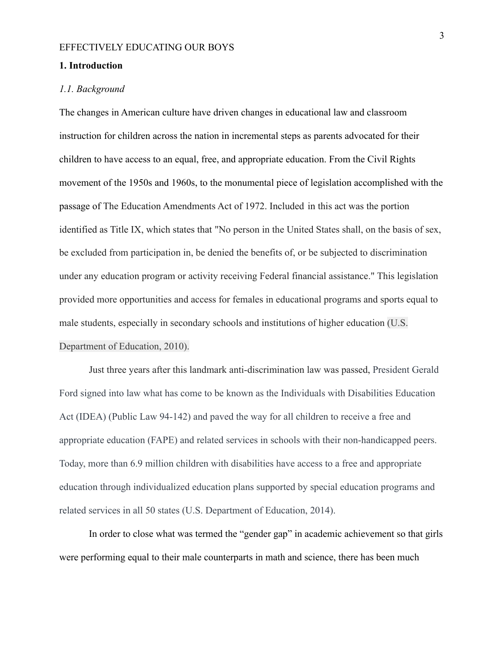#### **1. Introduction**

#### *1.1. Background*

The changes in American culture have driven changes in educational law and classroom instruction for children across the nation in incremental steps as parents advocated for their children to have access to an equal, free, and appropriate education. From the Civil Rights movement of the 1950s and 1960s, to the monumental piece of legislation accomplished with the passage of The Education Amendments Act of 1972. Included in this act was the portion identified as Title IX, which states that "No person in the United States shall, on the basis of sex, be excluded from participation in, be denied the benefits of, or be subjected to discrimination under any education program or activity receiving Federal financial assistance." This legislation provided more opportunities and access for females in educational programs and sports equal to male students, especially in secondary schools and institutions of higher education (U.S. Department of Education, 2010).

Just three years after this landmark anti-discrimination law was passed, President Gerald Ford signed into law what has come to be known as the Individuals with Disabilities Education Act (IDEA) (Public Law 94-142) and paved the way for all children to receive a free and appropriate education (FAPE) and related services in schools with their non-handicapped peers. Today, more than 6.9 million children with disabilities have access to a free and appropriate education through individualized education plans supported by special education programs and related services in all 50 states (U.S. Department of Education, 2014).

In order to close what was termed the "gender gap" in academic achievement so that girls were performing equal to their male counterparts in math and science, there has been much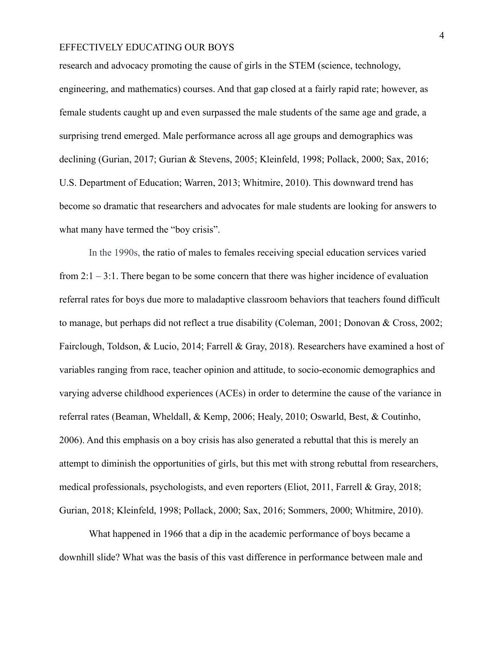research and advocacy promoting the cause of girls in the STEM (science, technology, engineering, and mathematics) courses. And that gap closed at a fairly rapid rate; however, as female students caught up and even surpassed the male students of the same age and grade, a surprising trend emerged. Male performance across all age groups and demographics was declining (Gurian, 2017; Gurian & Stevens, 2005; Kleinfeld, 1998; Pollack, 2000; Sax, 2016; U.S. Department of Education; Warren, 2013; Whitmire, 2010). This downward trend has become so dramatic that researchers and advocates for male students are looking for answers to what many have termed the "boy crisis".

In the 1990s, the ratio of males to females receiving special education services varied from 2:1 – 3:1. There began to be some concern that there was higher incidence of evaluation referral rates for boys due more to maladaptive classroom behaviors that teachers found difficult to manage, but perhaps did not reflect a true disability (Coleman, 2001; Donovan & Cross, 2002; Fairclough, Toldson, & Lucio, 2014; Farrell & Gray, 2018). Researchers have examined a host of variables ranging from race, teacher opinion and attitude, to socio-economic demographics and varying adverse childhood experiences (ACEs) in order to determine the cause of the variance in referral rates (Beaman, Wheldall, & Kemp, 2006; Healy, 2010; Oswarld, Best, & Coutinho, 2006). And this emphasis on a boy crisis has also generated a rebuttal that this is merely an attempt to diminish the opportunities of girls, but this met with strong rebuttal from researchers, medical professionals, psychologists, and even reporters (Eliot, 2011, Farrell & Gray, 2018; Gurian, 2018; Kleinfeld, 1998; Pollack, 2000; Sax, 2016; Sommers, 2000; Whitmire, 2010).

What happened in 1966 that a dip in the academic performance of boys became a downhill slide? What was the basis of this vast difference in performance between male and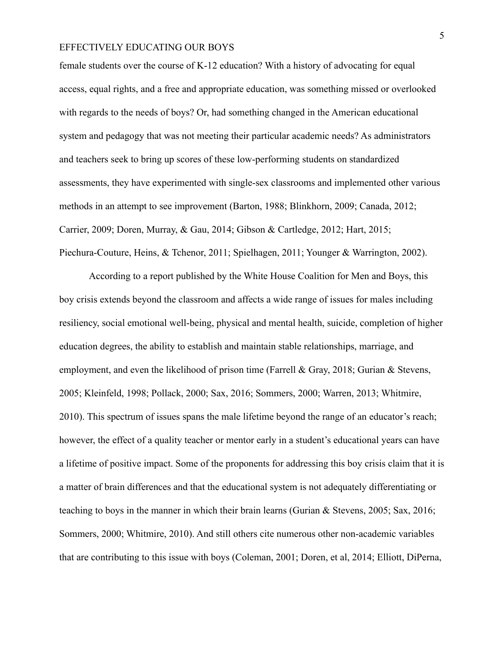female students over the course of K-12 education? With a history of advocating for equal access, equal rights, and a free and appropriate education, was something missed or overlooked with regards to the needs of boys? Or, had something changed in the American educational system and pedagogy that was not meeting their particular academic needs? As administrators and teachers seek to bring up scores of these low-performing students on standardized assessments, they have experimented with single-sex classrooms and implemented other various methods in an attempt to see improvement (Barton, 1988; Blinkhorn, 2009; Canada, 2012; Carrier, 2009; Doren, Murray, & Gau, 2014; Gibson & Cartledge, 2012; Hart, 2015; Piechura-Couture, Heins, & Tchenor, 2011; Spielhagen, 2011; Younger & Warrington, 2002).

According to a report published by the White House Coalition for Men and Boys, this boy crisis extends beyond the classroom and affects a wide range of issues for males including resiliency, social emotional well-being, physical and mental health, suicide, completion of higher education degrees, the ability to establish and maintain stable relationships, marriage, and employment, and even the likelihood of prison time (Farrell & Gray, 2018; Gurian & Stevens, 2005; Kleinfeld, 1998; Pollack, 2000; Sax, 2016; Sommers, 2000; Warren, 2013; Whitmire, 2010). This spectrum of issues spans the male lifetime beyond the range of an educator's reach; however, the effect of a quality teacher or mentor early in a student's educational years can have a lifetime of positive impact. Some of the proponents for addressing this boy crisis claim that it is a matter of brain differences and that the educational system is not adequately differentiating or teaching to boys in the manner in which their brain learns (Gurian & Stevens, 2005; Sax, 2016; Sommers, 2000; Whitmire, 2010). And still others cite numerous other non-academic variables that are contributing to this issue with boys (Coleman, 2001; Doren, et al, 2014; Elliott, DiPerna,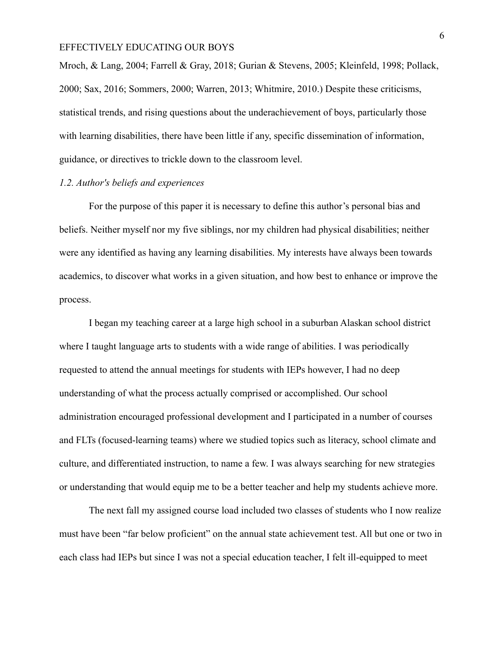Mroch, & Lang, 2004; Farrell & Gray, 2018; Gurian & Stevens, 2005; Kleinfeld, 1998; Pollack, 2000; Sax, 2016; Sommers, 2000; Warren, 2013; Whitmire, 2010.) Despite these criticisms, statistical trends, and rising questions about the underachievement of boys, particularly those with learning disabilities, there have been little if any, specific dissemination of information, guidance, or directives to trickle down to the classroom level.

#### *1.2. Author's beliefs and experiences*

For the purpose of this paper it is necessary to define this author's personal bias and beliefs. Neither myself nor my five siblings, nor my children had physical disabilities; neither were any identified as having any learning disabilities. My interests have always been towards academics, to discover what works in a given situation, and how best to enhance or improve the process.

I began my teaching career at a large high school in a suburban Alaskan school district where I taught language arts to students with a wide range of abilities. I was periodically requested to attend the annual meetings for students with IEPs however, I had no deep understanding of what the process actually comprised or accomplished. Our school administration encouraged professional development and I participated in a number of courses and FLTs (focused-learning teams) where we studied topics such as literacy, school climate and culture, and differentiated instruction, to name a few. I was always searching for new strategies or understanding that would equip me to be a better teacher and help my students achieve more.

The next fall my assigned course load included two classes of students who I now realize must have been "far below proficient" on the annual state achievement test. All but one or two in each class had IEPs but since I was not a special education teacher, I felt ill-equipped to meet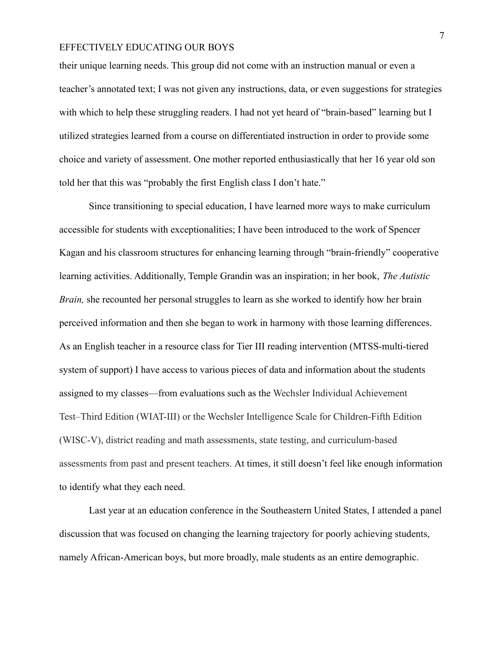their unique learning needs. This group did not come with an instruction manual or even a teacher's annotated text; I was not given any instructions, data, or even suggestions for strategies with which to help these struggling readers. I had not yet heard of "brain-based" learning but I utilized strategies learned from a course on differentiated instruction in order to provide some choice and variety of assessment. One mother reported enthusiastically that her 16 year old son told her that this was "probably the first English class I don't hate."

Since transitioning to special education, I have learned more ways to make curriculum accessible for students with exceptionalities; I have been introduced to the work of Spencer Kagan and his classroom structures for enhancing learning through "brain-friendly" cooperative learning activities. Additionally, Temple Grandin was an inspiration; in her book, *The Autistic Brain*, she recounted her personal struggles to learn as she worked to identify how her brain perceived information and then she began to work in harmony with those learning differences. As an English teacher in a resource class for Tier III reading intervention (MTSS-multi-tiered system of support) I have access to various pieces of data and information about the students assigned to my classes—from evaluations such as the Wechsler Individual Achievement Test–Third Edition (WIAT-III) or the Wechsler Intelligence Scale for Children-Fifth Edition (WISC-V), district reading and math assessments, state testing, and curriculum-based assessments from past and present teachers. At times, it still doesn't feel like enough information to identify what they each need.

Last year at an education conference in the Southeastern United States, I attended a panel discussion that was focused on changing the learning trajectory for poorly achieving students, namely African-American boys, but more broadly, male students as an entire demographic.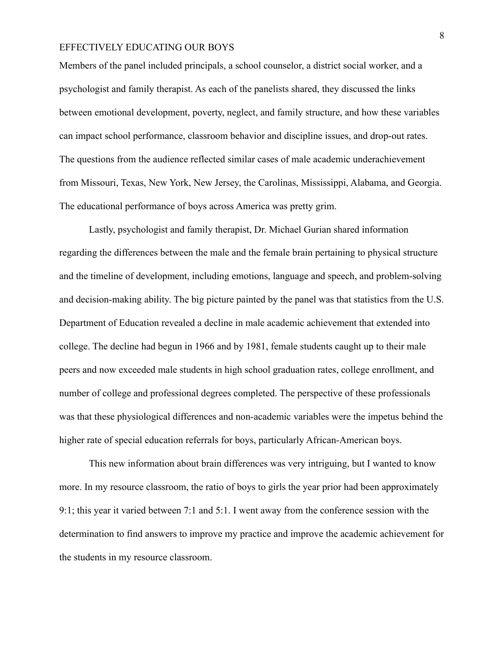Members of the panel included principals, a school counselor, a district social worker, and a psychologist and family therapist. As each of the panelists shared, they discussed the links between emotional development, poverty, neglect, and family structure, and how these variables can impact school performance, classroom behavior and discipline issues, and drop-out rates. The questions from the audience reflected similar cases of male academic underachievement from Missouri, Texas, New York, New Jersey, the Carolinas, Mississippi, Alabama, and Georgia. The educational performance of boys across America was pretty grim.

Lastly, psychologist and family therapist, Dr. Michael Gurian shared information regarding the differences between the male and the female brain pertaining to physical structure and the timeline of development, including emotions, language and speech, and problem-solving and decision-making ability. The big picture painted by the panel was that statistics from the U.S. Department of Education revealed a decline in male academic achievement that extended into college. The decline had begun in 1966 and by 1981, female students caught up to their male peers and now exceeded male students in high school graduation rates, college enrollment, and number of college and professional degrees completed. The perspective of these professionals was that these physiological differences and non-academic variables were the impetus behind the higher rate of special education referrals for boys, particularly African-American boys.

This new information about brain differences was very intriguing, but I wanted to know more. In my resource classroom, the ratio of boys to girls the year prior had been approximately 9:1; this year it varied between 7:1 and 5:1. I went away from the conference session with the determination to find answers to improve my practice and improve the academic achievement for the students in my resource classroom.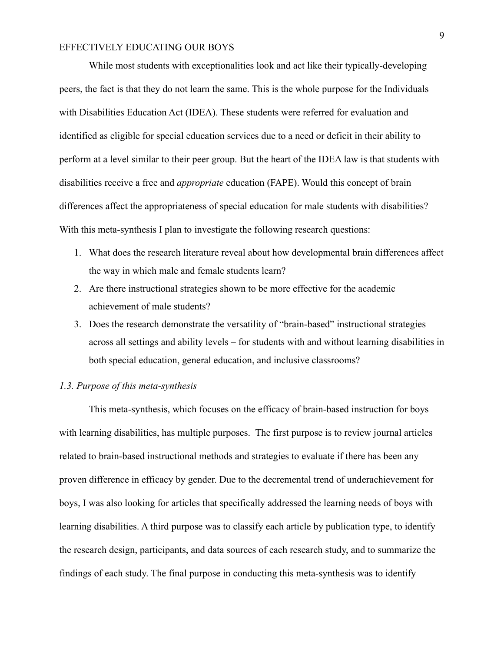While most students with exceptionalities look and act like their typically-developing peers, the fact is that they do not learn the same. This is the whole purpose for the Individuals with Disabilities Education Act (IDEA). These students were referred for evaluation and identified as eligible for special education services due to a need or deficit in their ability to perform at a level similar to their peer group. But the heart of the IDEA law is that students with disabilities receive a free and *appropriate* education (FAPE). Would this concept of brain differences affect the appropriateness of special education for male students with disabilities? With this meta-synthesis I plan to investigate the following research questions:

- 1. What does the research literature reveal about how developmental brain differences affect the way in which male and female students learn?
- 2. Are there instructional strategies shown to be more effective for the academic achievement of male students?
- 3. Does the research demonstrate the versatility of "brain-based" instructional strategies across all settings and ability levels – for students with and without learning disabilities in both special education, general education, and inclusive classrooms?

#### *1.3. Purpose of this meta-synthesis*

This meta-synthesis, which focuses on the efficacy of brain-based instruction for boys with learning disabilities, has multiple purposes. The first purpose is to review journal articles related to brain-based instructional methods and strategies to evaluate if there has been any proven difference in efficacy by gender. Due to the decremental trend of underachievement for boys, I was also looking for articles that specifically addressed the learning needs of boys with learning disabilities. A third purpose was to classify each article by publication type, to identify the research design, participants, and data sources of each research study, and to summarize the findings of each study. The final purpose in conducting this meta-synthesis was to identify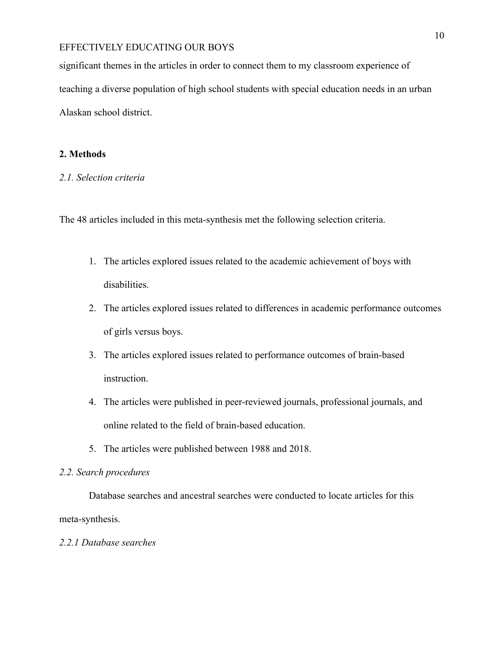significant themes in the articles in order to connect them to my classroom experience of teaching a diverse population of high school students with special education needs in an urban Alaskan school district.

### **2. Methods**

### *2.1. Selection criteria*

The 48 articles included in this meta-synthesis met the following selection criteria.

- 1. The articles explored issues related to the academic achievement of boys with disabilities.
- 2. The articles explored issues related to differences in academic performance outcomes of girls versus boys.
- 3. The articles explored issues related to performance outcomes of brain-based instruction.
- 4. The articles were published in peer-reviewed journals, professional journals, and online related to the field of brain-based education.
- 5. The articles were published between 1988 and 2018.

### *2.2. Search procedures*

Database searches and ancestral searches were conducted to locate articles for this meta-synthesis.

#### *2.2.1 Database searches*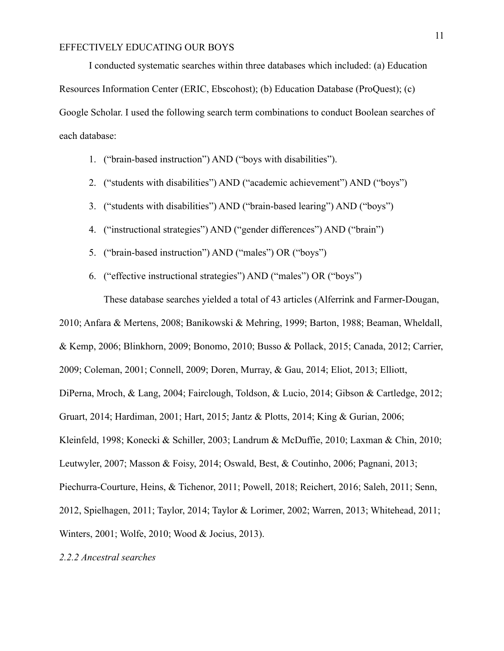I conducted systematic searches within three databases which included: (a) Education Resources Information Center (ERIC, Ebscohost); (b) Education Database (ProQuest); (c) Google Scholar. I used the following search term combinations to conduct Boolean searches of each database:

- 1. ("brain-based instruction") AND ("boys with disabilities").
- 2. ("students with disabilities") AND ("academic achievement") AND ("boys")
- 3. ("students with disabilities") AND ("brain-based learing") AND ("boys")
- 4. ("instructional strategies") AND ("gender differences") AND ("brain")
- 5. ("brain-based instruction") AND ("males") OR ("boys")
- 6. ("effective instructional strategies") AND ("males") OR ("boys")

These database searches yielded a total of 43 articles (Alferrink and Farmer-Dougan,

2010; Anfara & Mertens, 2008; Banikowski & Mehring, 1999; Barton, 1988; Beaman, Wheldall, & Kemp, 2006; Blinkhorn, 2009; Bonomo, 2010; Busso & Pollack, 2015; Canada, 2012; Carrier, 2009; Coleman, 2001; Connell, 2009; Doren, Murray, & Gau, 2014; Eliot, 2013; Elliott, DiPerna, Mroch, & Lang, 2004; Fairclough, Toldson, & Lucio, 2014; Gibson & Cartledge, 2012; Gruart, 2014; Hardiman, 2001; Hart, 2015; Jantz & Plotts, 2014; King & Gurian, 2006; Kleinfeld, 1998; Konecki & Schiller, 2003; Landrum & McDuffie, 2010; Laxman & Chin, 2010; Leutwyler, 2007; Masson & Foisy, 2014; Oswald, Best, & Coutinho, 2006; Pagnani, 2013; Piechurra-Courture, Heins, & Tichenor, 2011; Powell, 2018; Reichert, 2016; Saleh, 2011; Senn, 2012, Spielhagen, 2011; Taylor, 2014; Taylor & Lorimer, 2002; Warren, 2013; Whitehead, 2011; Winters, 2001; Wolfe, 2010; Wood & Jocius, 2013).

### *2.2.2 Ancestral searches*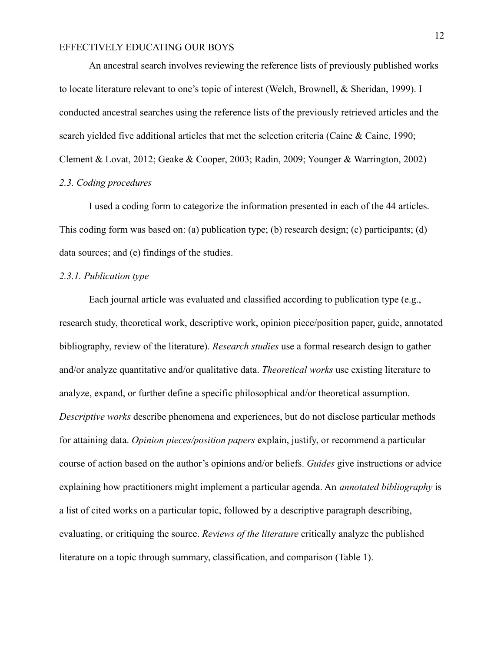An ancestral search involves reviewing the reference lists of previously published works to locate literature relevant to one's topic of interest (Welch, Brownell, & Sheridan, 1999). I conducted ancestral searches using the reference lists of the previously retrieved articles and the search yielded five additional articles that met the selection criteria (Caine & Caine, 1990; Clement & Lovat, 2012; Geake & Cooper, 2003; Radin, 2009; Younger & Warrington, 2002) *2.3. Coding procedures*

# I used a coding form to categorize the information presented in each of the 44 articles. This coding form was based on: (a) publication type; (b) research design; (c) participants; (d) data sources; and (e) findings of the studies.

#### *2.3.1. Publication type*

Each journal article was evaluated and classified according to publication type (e.g., research study, theoretical work, descriptive work, opinion piece/position paper, guide, annotated bibliography, review of the literature). *Research studies* use a formal research design to gather and/or analyze quantitative and/or qualitative data. *Theoretical works* use existing literature to analyze, expand, or further define a specific philosophical and/or theoretical assumption. *Descriptive works* describe phenomena and experiences, but do not disclose particular methods for attaining data. *Opinion pieces/position papers* explain, justify, or recommend a particular course of action based on the author's opinions and/or beliefs. *Guides* give instructions or advice explaining how practitioners might implement a particular agenda. An *annotated bibliography* is a list of cited works on a particular topic, followed by a descriptive paragraph describing, evaluating, or critiquing the source. *Reviews of the literature* critically analyze the published literature on a topic through summary, classification, and comparison (Table 1).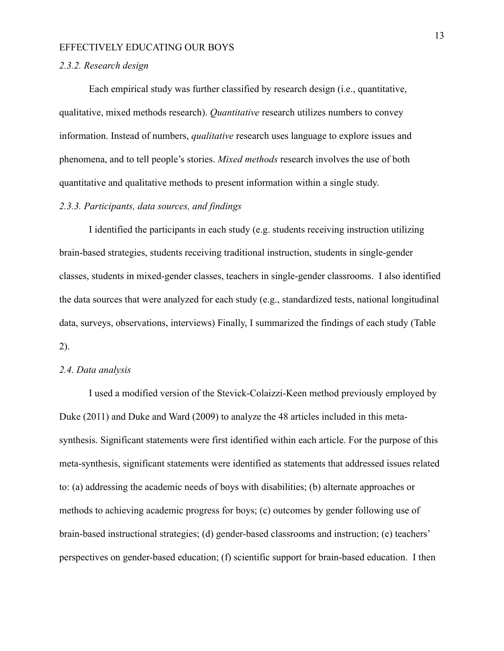#### *2.3.2. Research design*

Each empirical study was further classified by research design (i.e., quantitative, qualitative, mixed methods research). *Quantitative* research utilizes numbers to convey information. Instead of numbers, *qualitative* research uses language to explore issues and phenomena, and to tell people's stories. *Mixed methods* research involves the use of both quantitative and qualitative methods to present information within a single study.

#### *2.3.3. Participants, data sources, and findings*

I identified the participants in each study (e.g. students receiving instruction utilizing brain-based strategies, students receiving traditional instruction, students in single-gender classes, students in mixed-gender classes, teachers in single-gender classrooms. I also identified the data sources that were analyzed for each study (e.g., standardized tests, national longitudinal data, surveys, observations, interviews) Finally, I summarized the findings of each study (Table 2).

#### *2.4. Data analysis*

I used a modified version of the Stevick-Colaizzi-Keen method previously employed by Duke (2011) and Duke and Ward (2009) to analyze the 48 articles included in this metasynthesis. Significant statements were first identified within each article. For the purpose of this meta-synthesis, significant statements were identified as statements that addressed issues related to: (a) addressing the academic needs of boys with disabilities; (b) alternate approaches or methods to achieving academic progress for boys; (c) outcomes by gender following use of brain-based instructional strategies; (d) gender-based classrooms and instruction; (e) teachers' perspectives on gender-based education; (f) scientific support for brain-based education. I then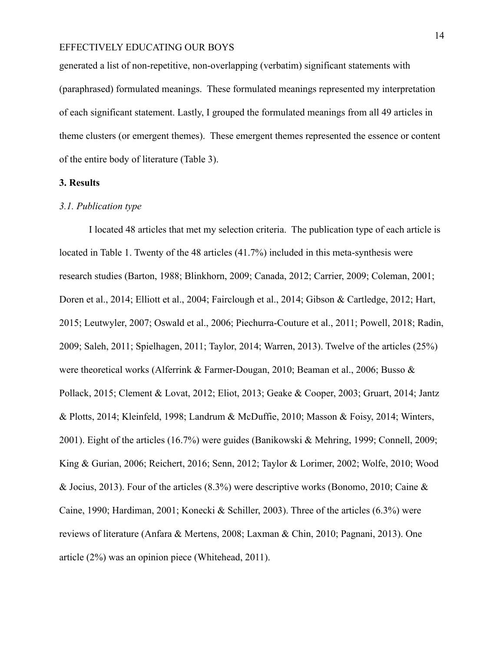generated a list of non-repetitive, non-overlapping (verbatim) significant statements with (paraphrased) formulated meanings. These formulated meanings represented my interpretation of each significant statement. Lastly, I grouped the formulated meanings from all 49 articles in theme clusters (or emergent themes). These emergent themes represented the essence or content of the entire body of literature (Table 3).

#### **3. Results**

#### *3.1. Publication type*

I located 48 articles that met my selection criteria. The publication type of each article is located in Table 1. Twenty of the 48 articles (41.7%) included in this meta-synthesis were research studies (Barton, 1988; Blinkhorn, 2009; Canada, 2012; Carrier, 2009; Coleman, 2001; Doren et al., 2014; Elliott et al., 2004; Fairclough et al., 2014; Gibson & Cartledge, 2012; Hart, 2015; Leutwyler, 2007; Oswald et al., 2006; Piechurra-Couture et al., 2011; Powell, 2018; Radin, 2009; Saleh, 2011; Spielhagen, 2011; Taylor, 2014; Warren, 2013). Twelve of the articles (25%) were theoretical works (Alferrink & Farmer-Dougan, 2010; Beaman et al., 2006; Busso & Pollack, 2015; Clement & Lovat, 2012; Eliot, 2013; Geake & Cooper, 2003; Gruart, 2014; Jantz & Plotts, 2014; Kleinfeld, 1998; Landrum & McDuffie, 2010; Masson & Foisy, 2014; Winters, 2001). Eight of the articles (16.7%) were guides (Banikowski & Mehring, 1999; Connell, 2009; King & Gurian, 2006; Reichert, 2016; Senn, 2012; Taylor & Lorimer, 2002; Wolfe, 2010; Wood & Jocius, 2013). Four of the articles (8.3%) were descriptive works (Bonomo, 2010; Caine & Caine, 1990; Hardiman, 2001; Konecki & Schiller, 2003). Three of the articles (6.3%) were reviews of literature (Anfara & Mertens, 2008; Laxman & Chin, 2010; Pagnani, 2013). One article (2%) was an opinion piece (Whitehead, 2011).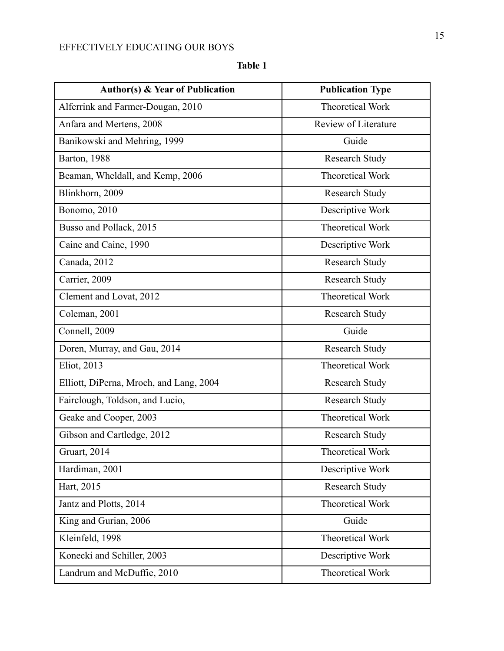| . . |  |
|-----|--|
|     |  |

| <b>Author(s) &amp; Year of Publication</b> | <b>Publication Type</b> |
|--------------------------------------------|-------------------------|
| Alferrink and Farmer-Dougan, 2010          | <b>Theoretical Work</b> |
| Anfara and Mertens, 2008                   | Review of Literature    |
| Banikowski and Mehring, 1999               | Guide                   |
| Barton, 1988                               | <b>Research Study</b>   |
| Beaman, Wheldall, and Kemp, 2006           | <b>Theoretical Work</b> |
| Blinkhorn, 2009                            | Research Study          |
| Bonomo, 2010                               | Descriptive Work        |
| Busso and Pollack, 2015                    | Theoretical Work        |
| Caine and Caine, 1990                      | Descriptive Work        |
| Canada, 2012                               | <b>Research Study</b>   |
| Carrier, 2009                              | <b>Research Study</b>   |
| Clement and Lovat, 2012                    | <b>Theoretical Work</b> |
| Coleman, 2001                              | <b>Research Study</b>   |
| Connell, 2009                              | Guide                   |
| Doren, Murray, and Gau, 2014               | <b>Research Study</b>   |
| Eliot, 2013                                | <b>Theoretical Work</b> |
| Elliott, DiPerna, Mroch, and Lang, 2004    | <b>Research Study</b>   |
| Fairclough, Toldson, and Lucio,            | <b>Research Study</b>   |
| Geake and Cooper, 2003                     | <b>Theoretical Work</b> |
| Gibson and Cartledge, 2012                 | <b>Research Study</b>   |
| Gruart, 2014                               | <b>Theoretical Work</b> |
| Hardiman, 2001                             | Descriptive Work        |
| Hart, 2015                                 | <b>Research Study</b>   |
| Jantz and Plotts, 2014                     | Theoretical Work        |
| King and Gurian, 2006                      | Guide                   |
| Kleinfeld, 1998                            | Theoretical Work        |
| Konecki and Schiller, 2003                 | Descriptive Work        |
| Landrum and McDuffie, 2010                 | Theoretical Work        |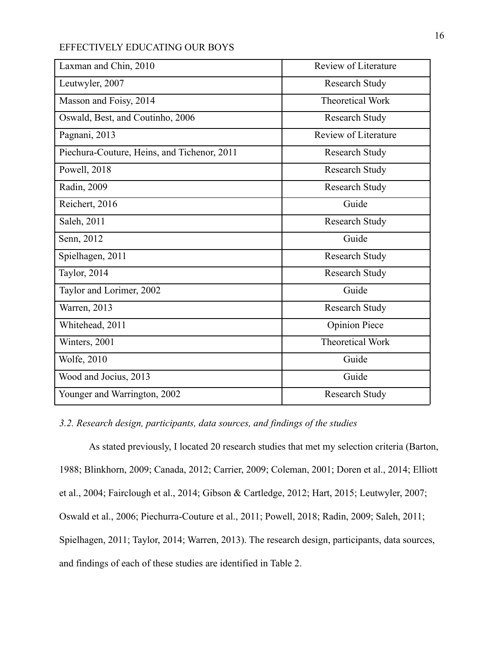| Laxman and Chin, 2010                       | Review of Literature    |
|---------------------------------------------|-------------------------|
| Leutwyler, 2007                             | <b>Research Study</b>   |
| Masson and Foisy, 2014                      | <b>Theoretical Work</b> |
| Oswald, Best, and Coutinho, 2006            | <b>Research Study</b>   |
| Pagnani, 2013                               | Review of Literature    |
| Piechura-Couture, Heins, and Tichenor, 2011 | Research Study          |
| Powell, 2018                                | Research Study          |
| Radin, 2009                                 | <b>Research Study</b>   |
| Reichert, 2016                              | Guide                   |
| Saleh, 2011                                 | Research Study          |
| Senn, 2012                                  | Guide                   |
| Spielhagen, 2011                            | <b>Research Study</b>   |
| Taylor, 2014                                | <b>Research Study</b>   |
| Taylor and Lorimer, 2002                    | Guide                   |
| Warren, 2013                                | Research Study          |
| Whitehead, 2011                             | <b>Opinion Piece</b>    |
| Winters, 2001                               | <b>Theoretical Work</b> |
| Wolfe, 2010                                 | Guide                   |
| Wood and Jocius, 2013                       | Guide                   |
| Younger and Warrington, 2002                | <b>Research Study</b>   |

*3.2. Research design, participants, data sources, and findings of the studies*

As stated previously, I located 20 research studies that met my selection criteria (Barton, 1988; Blinkhorn, 2009; Canada, 2012; Carrier, 2009; Coleman, 2001; Doren et al., 2014; Elliott et al., 2004; Fairclough et al., 2014; Gibson & Cartledge, 2012; Hart, 2015; Leutwyler, 2007; Oswald et al., 2006; Piechurra-Couture et al., 2011; Powell, 2018; Radin, 2009; Saleh, 2011; Spielhagen, 2011; Taylor, 2014; Warren, 2013). The research design, participants, data sources, and findings of each of these studies are identified in Table 2.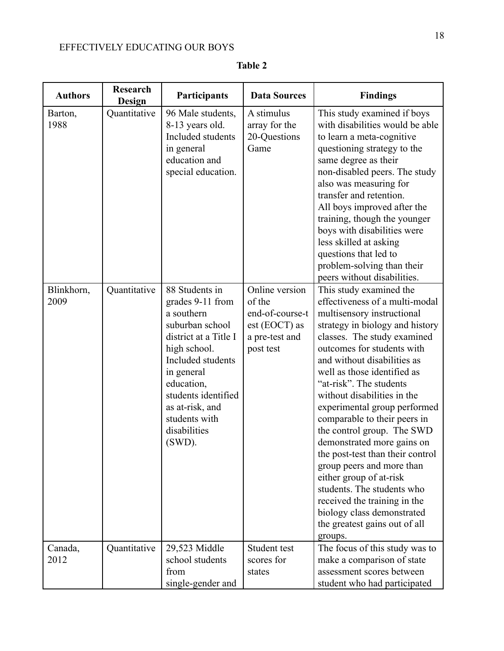| <b>Authors</b>     | <b>Research</b><br>Design | Participants                                                                                                                                                                                                                                          | <b>Data Sources</b>                                                                           | <b>Findings</b>                                                                                                                                                                                                                                                                                                                                                                                                                                                                                                                                                                                                                                                                 |
|--------------------|---------------------------|-------------------------------------------------------------------------------------------------------------------------------------------------------------------------------------------------------------------------------------------------------|-----------------------------------------------------------------------------------------------|---------------------------------------------------------------------------------------------------------------------------------------------------------------------------------------------------------------------------------------------------------------------------------------------------------------------------------------------------------------------------------------------------------------------------------------------------------------------------------------------------------------------------------------------------------------------------------------------------------------------------------------------------------------------------------|
| Barton,<br>1988    | Quantitative              | 96 Male students,<br>8-13 years old.<br>Included students<br>in general<br>education and<br>special education.                                                                                                                                        | A stimulus<br>array for the<br>20-Questions<br>Game                                           | This study examined if boys<br>with disabilities would be able<br>to learn a meta-cognitive<br>questioning strategy to the<br>same degree as their<br>non-disabled peers. The study<br>also was measuring for<br>transfer and retention.<br>All boys improved after the<br>training, though the younger<br>boys with disabilities were<br>less skilled at asking<br>questions that led to<br>problem-solving than their<br>peers without disabilities.                                                                                                                                                                                                                          |
| Blinkhorn,<br>2009 | Quantitative              | 88 Students in<br>grades 9-11 from<br>a southern<br>suburban school<br>district at a Title I<br>high school.<br>Included students<br>in general<br>education,<br>students identified<br>as at-risk, and<br>students with<br>disabilities<br>$(SWD)$ . | Online version<br>of the<br>end-of-course-t<br>$est (EOCT)$ as<br>a pre-test and<br>post test | This study examined the<br>effectiveness of a multi-modal<br>multisensory instructional<br>strategy in biology and history<br>classes. The study examined<br>outcomes for students with<br>and without disabilities as<br>well as those identified as<br>"at-risk". The students<br>without disabilities in the<br>experimental group performed<br>comparable to their peers in<br>the control group. The SWD<br>demonstrated more gains on<br>the post-test than their control<br>group peers and more than<br>either group of at-risk<br>students. The students who<br>received the training in the<br>biology class demonstrated<br>the greatest gains out of all<br>groups. |
| Canada,<br>2012    | Quantitative              | 29,523 Middle<br>school students<br>from<br>single-gender and                                                                                                                                                                                         | Student test<br>scores for<br>states                                                          | The focus of this study was to<br>make a comparison of state<br>assessment scores between<br>student who had participated                                                                                                                                                                                                                                                                                                                                                                                                                                                                                                                                                       |

**Table 2**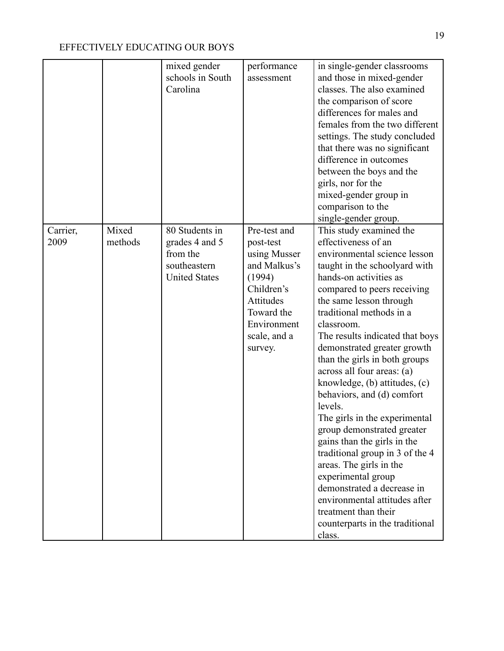|                  |                  | mixed gender<br>schools in South<br>Carolina                                         | performance<br>assessment                                                                                                                              | in single-gender classrooms<br>and those in mixed-gender<br>classes. The also examined<br>the comparison of score<br>differences for males and<br>females from the two different<br>settings. The study concluded<br>that there was no significant<br>difference in outcomes<br>between the boys and the<br>girls, nor for the<br>mixed-gender group in<br>comparison to the<br>single-gender group.                                                                                                                                                                                                                                                                                                                                                                           |
|------------------|------------------|--------------------------------------------------------------------------------------|--------------------------------------------------------------------------------------------------------------------------------------------------------|--------------------------------------------------------------------------------------------------------------------------------------------------------------------------------------------------------------------------------------------------------------------------------------------------------------------------------------------------------------------------------------------------------------------------------------------------------------------------------------------------------------------------------------------------------------------------------------------------------------------------------------------------------------------------------------------------------------------------------------------------------------------------------|
| Carrier,<br>2009 | Mixed<br>methods | 80 Students in<br>grades 4 and 5<br>from the<br>southeastern<br><b>United States</b> | Pre-test and<br>post-test<br>using Musser<br>and Malkus's<br>(1994)<br>Children's<br>Attitudes<br>Toward the<br>Environment<br>scale, and a<br>survey. | This study examined the<br>effectiveness of an<br>environmental science lesson<br>taught in the schoolyard with<br>hands-on activities as<br>compared to peers receiving<br>the same lesson through<br>traditional methods in a<br>classroom.<br>The results indicated that boys<br>demonstrated greater growth<br>than the girls in both groups<br>across all four areas: (a)<br>knowledge, (b) attitudes, (c)<br>behaviors, and (d) comfort<br>levels.<br>The girls in the experimental<br>group demonstrated greater<br>gains than the girls in the<br>traditional group in 3 of the 4<br>areas. The girls in the<br>experimental group<br>demonstrated a decrease in<br>environmental attitudes after<br>treatment than their<br>counterparts in the traditional<br>class. |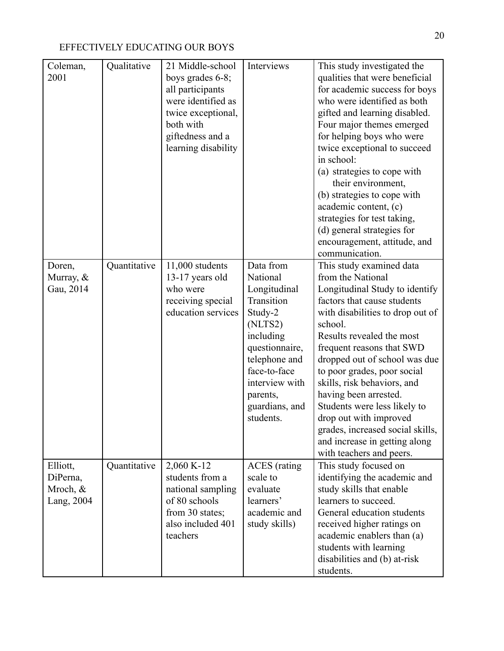| Coleman,<br>2001                               | Qualitative  | 21 Middle-school<br>boys grades 6-8;<br>all participants<br>were identified as<br>twice exceptional,<br>both with<br>giftedness and a<br>learning disability | Interviews                                                                                                                                                                                             | This study investigated the<br>qualities that were beneficial<br>for academic success for boys<br>who were identified as both<br>gifted and learning disabled.<br>Four major themes emerged<br>for helping boys who were<br>twice exceptional to succeed<br>in school:<br>(a) strategies to cope with<br>their environment,<br>(b) strategies to cope with<br>academic content, (c)<br>strategies for test taking,<br>(d) general strategies for<br>encouragement, attitude, and<br>communication.         |
|------------------------------------------------|--------------|--------------------------------------------------------------------------------------------------------------------------------------------------------------|--------------------------------------------------------------------------------------------------------------------------------------------------------------------------------------------------------|------------------------------------------------------------------------------------------------------------------------------------------------------------------------------------------------------------------------------------------------------------------------------------------------------------------------------------------------------------------------------------------------------------------------------------------------------------------------------------------------------------|
| Doren,<br>Murray, $\&$<br>Gau, 2014            | Quantitative | 11,000 students<br>13-17 years old<br>who were<br>receiving special<br>education services                                                                    | Data from<br>National<br>Longitudinal<br>Transition<br>Study-2<br>(NLTS2)<br>including<br>questionnaire,<br>telephone and<br>face-to-face<br>interview with<br>parents,<br>guardians, and<br>students. | This study examined data<br>from the National<br>Longitudinal Study to identify<br>factors that cause students<br>with disabilities to drop out of<br>school.<br>Results revealed the most<br>frequent reasons that SWD<br>dropped out of school was due<br>to poor grades, poor social<br>skills, risk behaviors, and<br>having been arrested.<br>Students were less likely to<br>drop out with improved<br>grades, increased social skills,<br>and increase in getting along<br>with teachers and peers. |
| Elliott,<br>DiPerna,<br>Mroch, &<br>Lang, 2004 | Quantitative | 2,060 K-12<br>students from a<br>national sampling<br>of 80 schools<br>from 30 states;<br>also included 401<br>teachers                                      | <b>ACES</b> (rating<br>scale to<br>evaluate<br>learners'<br>academic and<br>study skills)                                                                                                              | This study focused on<br>identifying the academic and<br>study skills that enable<br>learners to succeed.<br>General education students<br>received higher ratings on<br>academic enablers than (a)<br>students with learning<br>disabilities and (b) at-risk<br>students.                                                                                                                                                                                                                                 |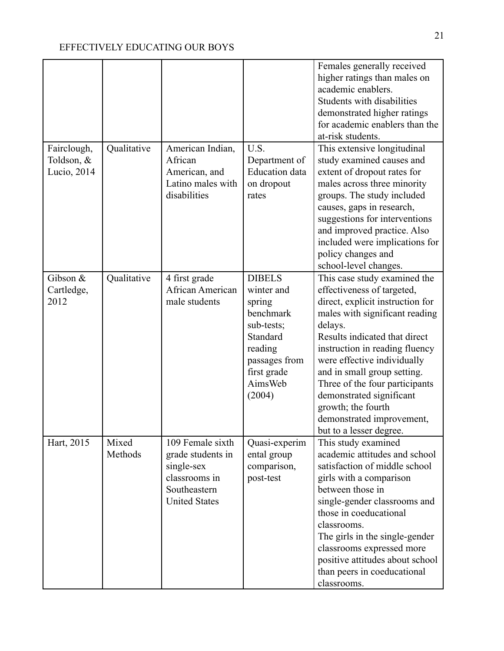|                                            |                  |                                                                                                              |                                                                                                                                              | Females generally received<br>higher ratings than males on<br>academic enablers.<br>Students with disabilities<br>demonstrated higher ratings<br>for academic enablers than the<br>at-risk students.                                                                                                                                                                                                                                              |
|--------------------------------------------|------------------|--------------------------------------------------------------------------------------------------------------|----------------------------------------------------------------------------------------------------------------------------------------------|---------------------------------------------------------------------------------------------------------------------------------------------------------------------------------------------------------------------------------------------------------------------------------------------------------------------------------------------------------------------------------------------------------------------------------------------------|
| Fairclough,<br>Toldson, $&$<br>Lucio, 2014 | Qualitative      | American Indian,<br>African<br>American, and<br>Latino males with<br>disabilities                            | U.S.<br>Department of<br><b>Education</b> data<br>on dropout<br>rates                                                                        | This extensive longitudinal<br>study examined causes and<br>extent of dropout rates for<br>males across three minority<br>groups. The study included<br>causes, gaps in research,<br>suggestions for interventions<br>and improved practice. Also<br>included were implications for<br>policy changes and                                                                                                                                         |
| Gibson &<br>Cartledge,<br>2012             | Qualitative      | 4 first grade<br>African American<br>male students                                                           | <b>DIBELS</b><br>winter and<br>spring<br>benchmark<br>sub-tests;<br>Standard<br>reading<br>passages from<br>first grade<br>AimsWeb<br>(2004) | school-level changes.<br>This case study examined the<br>effectiveness of targeted,<br>direct, explicit instruction for<br>males with significant reading<br>delays.<br>Results indicated that direct<br>instruction in reading fluency<br>were effective individually<br>and in small group setting.<br>Three of the four participants<br>demonstrated significant<br>growth; the fourth<br>demonstrated improvement,<br>but to a lesser degree. |
| Hart, 2015                                 | Mixed<br>Methods | 109 Female sixth<br>grade students in<br>single-sex<br>classrooms in<br>Southeastern<br><b>United States</b> | Quasi-experim<br>ental group<br>comparison,<br>post-test                                                                                     | This study examined<br>academic attitudes and school<br>satisfaction of middle school<br>girls with a comparison<br>between those in<br>single-gender classrooms and<br>those in coeducational<br>classrooms.<br>The girls in the single-gender<br>classrooms expressed more<br>positive attitudes about school<br>than peers in coeducational<br>classrooms.                                                                                     |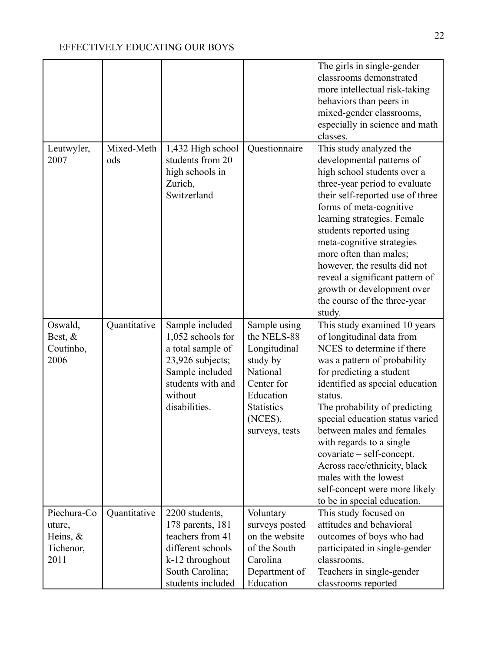|                                                           |                   |                                                                                                                                                   |                                                                                                                                                  | The girls in single-gender<br>classrooms demonstrated<br>more intellectual risk-taking<br>behaviors than peers in<br>mixed-gender classrooms,<br>especially in science and math<br>classes.                                                                                                                                                                                                                                                                                          |
|-----------------------------------------------------------|-------------------|---------------------------------------------------------------------------------------------------------------------------------------------------|--------------------------------------------------------------------------------------------------------------------------------------------------|--------------------------------------------------------------------------------------------------------------------------------------------------------------------------------------------------------------------------------------------------------------------------------------------------------------------------------------------------------------------------------------------------------------------------------------------------------------------------------------|
| Leutwyler,<br>2007                                        | Mixed-Meth<br>ods | 1,432 High school<br>students from 20<br>high schools in<br>Zurich,<br>Switzerland                                                                | Questionnaire                                                                                                                                    | This study analyzed the<br>developmental patterns of<br>high school students over a<br>three-year period to evaluate<br>their self-reported use of three<br>forms of meta-cognitive<br>learning strategies. Female<br>students reported using<br>meta-cognitive strategies<br>more often than males;<br>however, the results did not<br>reveal a significant pattern of<br>growth or development over<br>the course of the three-year<br>study.                                      |
| Oswald,<br>Best, $&$<br>Coutinho,<br>2006                 | Quantitative      | Sample included<br>1,052 schools for<br>a total sample of<br>23,926 subjects;<br>Sample included<br>students with and<br>without<br>disabilities. | Sample using<br>the NELS-88<br>Longitudinal<br>study by<br>National<br>Center for<br>Education<br><b>Statistics</b><br>(NCES),<br>surveys, tests | This study examined 10 years<br>of longitudinal data from<br>NCES to determine if there<br>was a pattern of probability<br>for predicting a student<br>identified as special education<br>status.<br>The probability of predicting<br>special education status varied<br>between males and females<br>with regards to a single<br>covariate - self-concept.<br>Across race/ethnicity, black<br>males with the lowest<br>self-concept were more likely<br>to be in special education. |
| Piechura-Co<br>uture,<br>Heins, $\&$<br>Tichenor,<br>2011 | Quantitative      | 2200 students,<br>178 parents, 181<br>teachers from 41<br>different schools<br>k-12 throughout<br>South Carolina;<br>students included            | Voluntary<br>surveys posted<br>on the website<br>of the South<br>Carolina<br>Department of<br>Education                                          | This study focused on<br>attitudes and behavioral<br>outcomes of boys who had<br>participated in single-gender<br>classrooms.<br>Teachers in single-gender<br>classrooms reported                                                                                                                                                                                                                                                                                                    |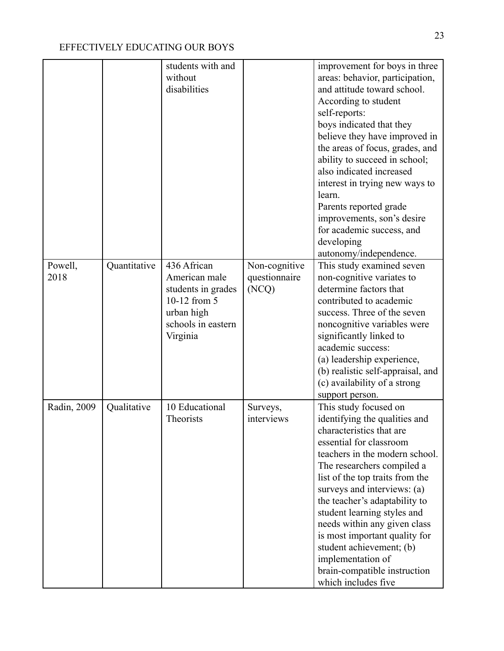|                 |              | students with and<br>without<br>disabilities                                                                       |                                         | improvement for boys in three<br>areas: behavior, participation,<br>and attitude toward school.<br>According to student<br>self-reports:<br>boys indicated that they<br>believe they have improved in<br>the areas of focus, grades, and<br>ability to succeed in school;                                                                                                                                                                                                                |
|-----------------|--------------|--------------------------------------------------------------------------------------------------------------------|-----------------------------------------|------------------------------------------------------------------------------------------------------------------------------------------------------------------------------------------------------------------------------------------------------------------------------------------------------------------------------------------------------------------------------------------------------------------------------------------------------------------------------------------|
|                 |              |                                                                                                                    |                                         | also indicated increased<br>interest in trying new ways to<br>learn.<br>Parents reported grade                                                                                                                                                                                                                                                                                                                                                                                           |
|                 |              |                                                                                                                    |                                         | improvements, son's desire<br>for academic success, and<br>developing<br>autonomy/independence.                                                                                                                                                                                                                                                                                                                                                                                          |
| Powell,<br>2018 | Quantitative | 436 African<br>American male<br>students in grades<br>10-12 from 5<br>urban high<br>schools in eastern<br>Virginia | Non-cognitive<br>questionnaire<br>(NCQ) | This study examined seven<br>non-cognitive variates to<br>determine factors that<br>contributed to academic<br>success. Three of the seven<br>noncognitive variables were<br>significantly linked to<br>academic success:<br>(a) leadership experience,<br>(b) realistic self-appraisal, and<br>(c) availability of a strong<br>support person.                                                                                                                                          |
| Radin, 2009     | Qualitative  | 10 Educational<br>Theorists                                                                                        | Surveys,<br>interviews                  | This study focused on<br>identifying the qualities and<br>characteristics that are<br>essential for classroom<br>teachers in the modern school.<br>The researchers compiled a<br>list of the top traits from the<br>surveys and interviews: (a)<br>the teacher's adaptability to<br>student learning styles and<br>needs within any given class<br>is most important quality for<br>student achievement; (b)<br>implementation of<br>brain-compatible instruction<br>which includes five |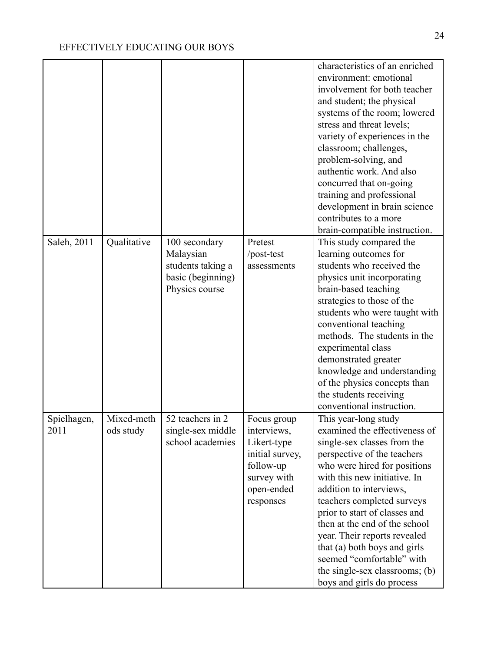|                     |                         |                                                                                        |                                                                                                                     | characteristics of an enriched<br>environment: emotional<br>involvement for both teacher<br>and student; the physical<br>systems of the room; lowered<br>stress and threat levels;<br>variety of experiences in the<br>classroom; challenges,<br>problem-solving, and<br>authentic work. And also<br>concurred that on-going<br>training and professional<br>development in brain science<br>contributes to a more<br>brain-compatible instruction.                        |
|---------------------|-------------------------|----------------------------------------------------------------------------------------|---------------------------------------------------------------------------------------------------------------------|----------------------------------------------------------------------------------------------------------------------------------------------------------------------------------------------------------------------------------------------------------------------------------------------------------------------------------------------------------------------------------------------------------------------------------------------------------------------------|
| Saleh, 2011         | Qualitative             | 100 secondary<br>Malaysian<br>students taking a<br>basic (beginning)<br>Physics course | Pretest<br>/post-test<br>assessments                                                                                | This study compared the<br>learning outcomes for<br>students who received the<br>physics unit incorporating<br>brain-based teaching<br>strategies to those of the<br>students who were taught with<br>conventional teaching<br>methods. The students in the<br>experimental class<br>demonstrated greater<br>knowledge and understanding<br>of the physics concepts than<br>the students receiving<br>conventional instruction.                                            |
| Spielhagen,<br>2011 | Mixed-meth<br>ods study | 52 teachers in 2<br>single-sex middle<br>school academies                              | Focus group<br>interviews,<br>Likert-type<br>initial survey,<br>follow-up<br>survey with<br>open-ended<br>responses | This year-long study<br>examined the effectiveness of<br>single-sex classes from the<br>perspective of the teachers<br>who were hired for positions<br>with this new initiative. In<br>addition to interviews,<br>teachers completed surveys<br>prior to start of classes and<br>then at the end of the school<br>year. Their reports revealed<br>that (a) both boys and girls<br>seemed "comfortable" with<br>the single-sex classrooms; (b)<br>boys and girls do process |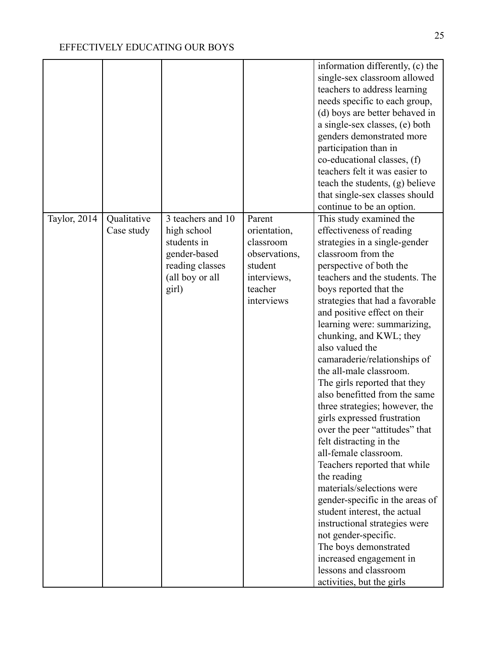|              |                           |                                                                                                                |                                                                                                         | information differently, (c) the<br>single-sex classroom allowed<br>teachers to address learning<br>needs specific to each group,<br>(d) boys are better behaved in<br>a single-sex classes, (e) both<br>genders demonstrated more<br>participation than in<br>co-educational classes, (f)<br>teachers felt it was easier to<br>teach the students, (g) believe<br>that single-sex classes should<br>continue to be an option.                                                                                                                                                                                                                                                                                                                                                                                                                                                                                                                         |
|--------------|---------------------------|----------------------------------------------------------------------------------------------------------------|---------------------------------------------------------------------------------------------------------|--------------------------------------------------------------------------------------------------------------------------------------------------------------------------------------------------------------------------------------------------------------------------------------------------------------------------------------------------------------------------------------------------------------------------------------------------------------------------------------------------------------------------------------------------------------------------------------------------------------------------------------------------------------------------------------------------------------------------------------------------------------------------------------------------------------------------------------------------------------------------------------------------------------------------------------------------------|
| Taylor, 2014 | Qualitative<br>Case study | 3 teachers and 10<br>high school<br>students in<br>gender-based<br>reading classes<br>(all boy or all<br>girl) | Parent<br>orientation,<br>classroom<br>observations,<br>student<br>interviews,<br>teacher<br>interviews | This study examined the<br>effectiveness of reading<br>strategies in a single-gender<br>classroom from the<br>perspective of both the<br>teachers and the students. The<br>boys reported that the<br>strategies that had a favorable<br>and positive effect on their<br>learning were: summarizing,<br>chunking, and KWL; they<br>also valued the<br>camaraderie/relationships of<br>the all-male classroom.<br>The girls reported that they<br>also benefitted from the same<br>three strategies; however, the<br>girls expressed frustration<br>over the peer "attitudes" that<br>felt distracting in the<br>all-female classroom.<br>Teachers reported that while<br>the reading<br>materials/selections were<br>gender-specific in the areas of<br>student interest, the actual<br>instructional strategies were<br>not gender-specific.<br>The boys demonstrated<br>increased engagement in<br>lessons and classroom<br>activities, but the girls |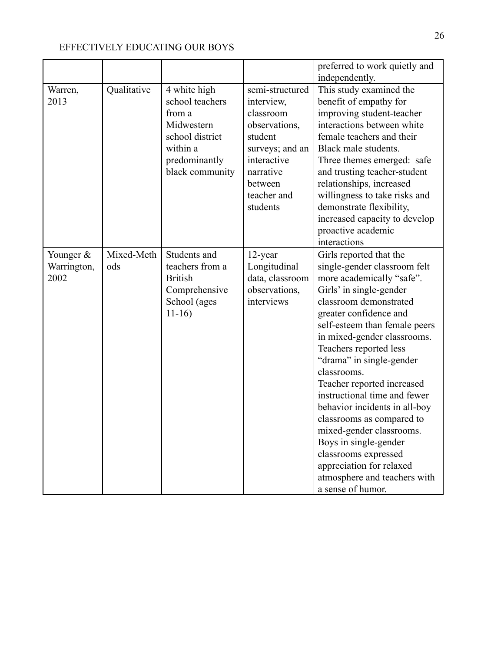|             |             |                 |                 | preferred to work quietly and |
|-------------|-------------|-----------------|-----------------|-------------------------------|
|             |             |                 |                 | independently.                |
| Warren,     | Qualitative | 4 white high    | semi-structured | This study examined the       |
| 2013        |             | school teachers | interview,      | benefit of empathy for        |
|             |             | from a          | classroom       | improving student-teacher     |
|             |             | Midwestern      | observations,   | interactions between white    |
|             |             | school district | student         | female teachers and their     |
|             |             | within a        | surveys; and an | Black male students.          |
|             |             | predominantly   | interactive     | Three themes emerged: safe    |
|             |             | black community | narrative       | and trusting teacher-student  |
|             |             |                 | between         | relationships, increased      |
|             |             |                 | teacher and     | willingness to take risks and |
|             |             |                 | students        | demonstrate flexibility,      |
|             |             |                 |                 | increased capacity to develop |
|             |             |                 |                 | proactive academic            |
|             |             |                 |                 | interactions                  |
| Younger &   | Mixed-Meth  | Students and    | 12-year         | Girls reported that the       |
| Warrington, | ods         | teachers from a | Longitudinal    | single-gender classroom felt  |
| 2002        |             | <b>British</b>  | data, classroom | more academically "safe".     |
|             |             | Comprehensive   | observations,   | Girls' in single-gender       |
|             |             | School (ages    | interviews      | classroom demonstrated        |
|             |             | $11-16$         |                 | greater confidence and        |
|             |             |                 |                 | self-esteem than female peers |
|             |             |                 |                 | in mixed-gender classrooms.   |
|             |             |                 |                 | Teachers reported less        |
|             |             |                 |                 | "drama" in single-gender      |
|             |             |                 |                 | classrooms.                   |
|             |             |                 |                 | Teacher reported increased    |
|             |             |                 |                 | instructional time and fewer  |
|             |             |                 |                 | behavior incidents in all-boy |
|             |             |                 |                 | classrooms as compared to     |
|             |             |                 |                 | mixed-gender classrooms.      |
|             |             |                 |                 | Boys in single-gender         |
|             |             |                 |                 | classrooms expressed          |
|             |             |                 |                 | appreciation for relaxed      |
|             |             |                 |                 | atmosphere and teachers with  |
|             |             |                 |                 | a sense of humor.             |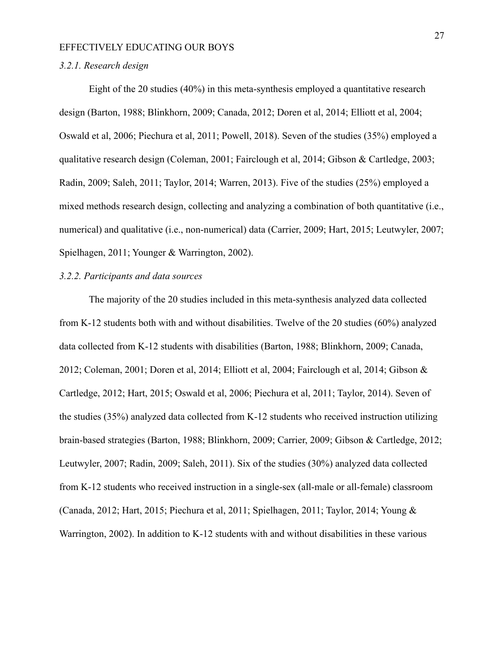#### *3.2.1. Research design*

Eight of the 20 studies (40%) in this meta-synthesis employed a quantitative research design (Barton, 1988; Blinkhorn, 2009; Canada, 2012; Doren et al, 2014; Elliott et al, 2004; Oswald et al, 2006; Piechura et al, 2011; Powell, 2018). Seven of the studies (35%) employed a qualitative research design (Coleman, 2001; Fairclough et al, 2014; Gibson & Cartledge, 2003; Radin, 2009; Saleh, 2011; Taylor, 2014; Warren, 2013). Five of the studies (25%) employed a mixed methods research design, collecting and analyzing a combination of both quantitative (i.e., numerical) and qualitative (i.e., non-numerical) data (Carrier, 2009; Hart, 2015; Leutwyler, 2007; Spielhagen, 2011; Younger & Warrington, 2002).

#### *3.2.2. Participants and data sources*

The majority of the 20 studies included in this meta-synthesis analyzed data collected from K-12 students both with and without disabilities. Twelve of the 20 studies (60%) analyzed data collected from K-12 students with disabilities (Barton, 1988; Blinkhorn, 2009; Canada, 2012; Coleman, 2001; Doren et al, 2014; Elliott et al, 2004; Fairclough et al, 2014; Gibson & Cartledge, 2012; Hart, 2015; Oswald et al, 2006; Piechura et al, 2011; Taylor, 2014). Seven of the studies (35%) analyzed data collected from K-12 students who received instruction utilizing brain-based strategies (Barton, 1988; Blinkhorn, 2009; Carrier, 2009; Gibson & Cartledge, 2012; Leutwyler, 2007; Radin, 2009; Saleh, 2011). Six of the studies (30%) analyzed data collected from K-12 students who received instruction in a single-sex (all-male or all-female) classroom (Canada, 2012; Hart, 2015; Piechura et al, 2011; Spielhagen, 2011; Taylor, 2014; Young & Warrington, 2002). In addition to K-12 students with and without disabilities in these various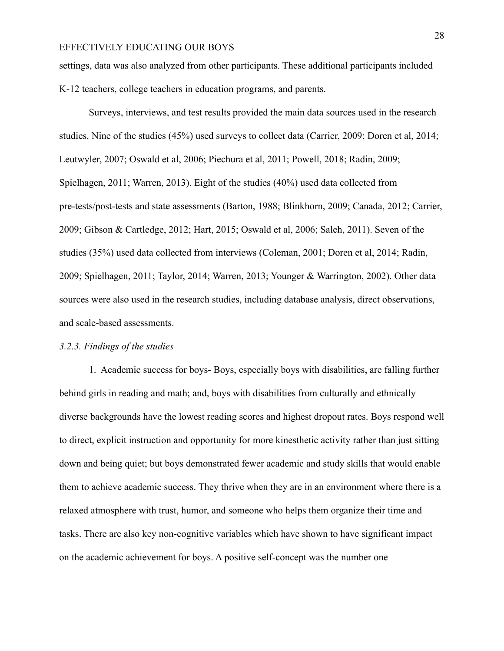settings, data was also analyzed from other participants. These additional participants included K-12 teachers, college teachers in education programs, and parents.

Surveys, interviews, and test results provided the main data sources used in the research studies. Nine of the studies (45%) used surveys to collect data (Carrier, 2009; Doren et al, 2014; Leutwyler, 2007; Oswald et al, 2006; Piechura et al, 2011; Powell, 2018; Radin, 2009; Spielhagen, 2011; Warren, 2013). Eight of the studies (40%) used data collected from pre-tests/post-tests and state assessments (Barton, 1988; Blinkhorn, 2009; Canada, 2012; Carrier, 2009; Gibson & Cartledge, 2012; Hart, 2015; Oswald et al, 2006; Saleh, 2011). Seven of the studies (35%) used data collected from interviews (Coleman, 2001; Doren et al, 2014; Radin, 2009; Spielhagen, 2011; Taylor, 2014; Warren, 2013; Younger & Warrington, 2002). Other data sources were also used in the research studies, including database analysis, direct observations, and scale-based assessments.

#### *3.2.3. Findings of the studies*

1. Academic success for boys- Boys, especially boys with disabilities, are falling further behind girls in reading and math; and, boys with disabilities from culturally and ethnically diverse backgrounds have the lowest reading scores and highest dropout rates. Boys respond well to direct, explicit instruction and opportunity for more kinesthetic activity rather than just sitting down and being quiet; but boys demonstrated fewer academic and study skills that would enable them to achieve academic success. They thrive when they are in an environment where there is a relaxed atmosphere with trust, humor, and someone who helps them organize their time and tasks. There are also key non-cognitive variables which have shown to have significant impact on the academic achievement for boys. A positive self-concept was the number one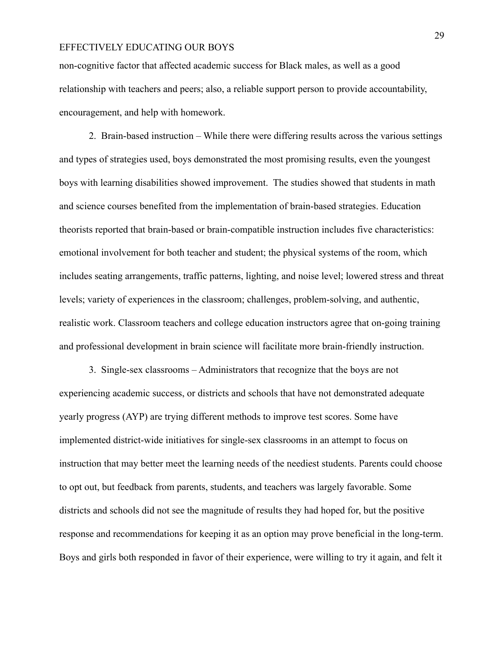non-cognitive factor that affected academic success for Black males, as well as a good relationship with teachers and peers; also, a reliable support person to provide accountability, encouragement, and help with homework.

2. Brain-based instruction – While there were differing results across the various settings and types of strategies used, boys demonstrated the most promising results, even the youngest boys with learning disabilities showed improvement. The studies showed that students in math and science courses benefited from the implementation of brain-based strategies. Education theorists reported that brain-based or brain-compatible instruction includes five characteristics: emotional involvement for both teacher and student; the physical systems of the room, which includes seating arrangements, traffic patterns, lighting, and noise level; lowered stress and threat levels; variety of experiences in the classroom; challenges, problem-solving, and authentic, realistic work. Classroom teachers and college education instructors agree that on-going training and professional development in brain science will facilitate more brain-friendly instruction.

3. Single-sex classrooms – Administrators that recognize that the boys are not experiencing academic success, or districts and schools that have not demonstrated adequate yearly progress (AYP) are trying different methods to improve test scores. Some have implemented district-wide initiatives for single-sex classrooms in an attempt to focus on instruction that may better meet the learning needs of the neediest students. Parents could choose to opt out, but feedback from parents, students, and teachers was largely favorable. Some districts and schools did not see the magnitude of results they had hoped for, but the positive response and recommendations for keeping it as an option may prove beneficial in the long-term. Boys and girls both responded in favor of their experience, were willing to try it again, and felt it

29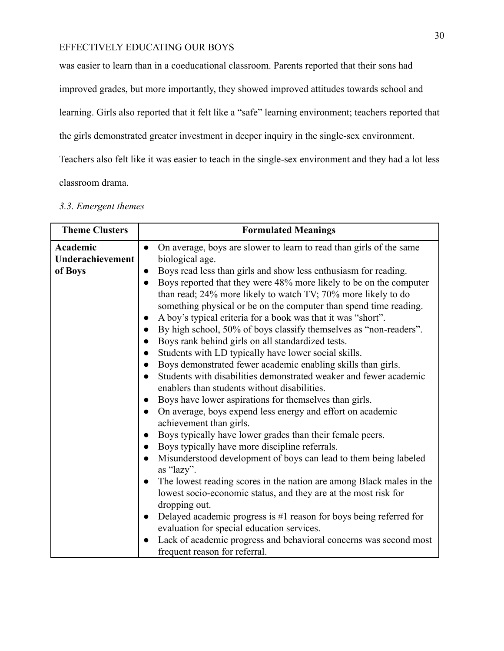was easier to learn than in a coeducational classroom. Parents reported that their sons had

improved grades, but more importantly, they showed improved attitudes towards school and

learning. Girls also reported that it felt like a "safe" learning environment; teachers reported that

the girls demonstrated greater investment in deeper inquiry in the single-sex environment.

Teachers also felt like it was easier to teach in the single-sex environment and they had a lot less

classroom drama.

| <b>Theme Clusters</b>       | <b>Formulated Meanings</b>                                                                                                                                                                                                                                                                                                                                                                                                                                                                                                                                                                                                                                                                                                                                                                                                                                                                                                                                                                                                                                                                                                                                                                                                                                                                                                                                                                                        |
|-----------------------------|-------------------------------------------------------------------------------------------------------------------------------------------------------------------------------------------------------------------------------------------------------------------------------------------------------------------------------------------------------------------------------------------------------------------------------------------------------------------------------------------------------------------------------------------------------------------------------------------------------------------------------------------------------------------------------------------------------------------------------------------------------------------------------------------------------------------------------------------------------------------------------------------------------------------------------------------------------------------------------------------------------------------------------------------------------------------------------------------------------------------------------------------------------------------------------------------------------------------------------------------------------------------------------------------------------------------------------------------------------------------------------------------------------------------|
| Academic                    | On average, boys are slower to learn to read than girls of the same<br>$\bullet$                                                                                                                                                                                                                                                                                                                                                                                                                                                                                                                                                                                                                                                                                                                                                                                                                                                                                                                                                                                                                                                                                                                                                                                                                                                                                                                                  |
| Underachievement<br>of Boys | biological age.<br>Boys read less than girls and show less enthusiasm for reading.<br>$\bullet$<br>Boys reported that they were 48% more likely to be on the computer<br>$\bullet$<br>than read; 24% more likely to watch TV; 70% more likely to do<br>something physical or be on the computer than spend time reading.<br>A boy's typical criteria for a book was that it was "short".<br>$\bullet$<br>By high school, 50% of boys classify themselves as "non-readers".<br>Boys rank behind girls on all standardized tests.<br>$\bullet$<br>Students with LD typically have lower social skills.<br>Boys demonstrated fewer academic enabling skills than girls.<br>$\bullet$<br>Students with disabilities demonstrated weaker and fewer academic<br>$\bullet$<br>enablers than students without disabilities.<br>Boys have lower aspirations for themselves than girls.<br>$\bullet$<br>On average, boys expend less energy and effort on academic<br>$\bullet$<br>achievement than girls.<br>Boys typically have lower grades than their female peers.<br>$\bullet$<br>Boys typically have more discipline referrals.<br>$\bullet$<br>Misunderstood development of boys can lead to them being labeled<br>$\bullet$<br>as "lazy".<br>The lowest reading scores in the nation are among Black males in the<br>$\bullet$<br>lowest socio-economic status, and they are at the most risk for<br>dropping out. |
|                             | Delayed academic progress is $#1$ reason for boys being referred for<br>$\bullet$<br>evaluation for special education services.<br>Lack of academic progress and behavioral concerns was second most<br>$\bullet$<br>frequent reason for referral.                                                                                                                                                                                                                                                                                                                                                                                                                                                                                                                                                                                                                                                                                                                                                                                                                                                                                                                                                                                                                                                                                                                                                                |

### *3.3. Emergent themes*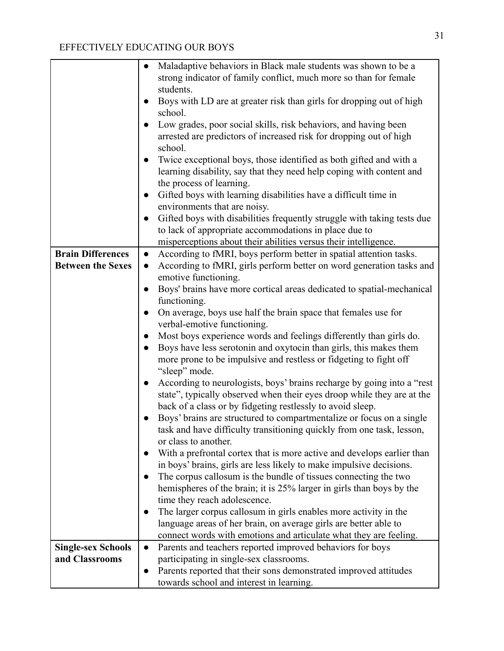|                           | Maladaptive behaviors in Black male students was shown to be a<br>$\bullet$         |
|---------------------------|-------------------------------------------------------------------------------------|
|                           | strong indicator of family conflict, much more so than for female                   |
|                           | students.                                                                           |
|                           | Boys with LD are at greater risk than girls for dropping out of high                |
|                           | school.                                                                             |
|                           | Low grades, poor social skills, risk behaviors, and having been                     |
|                           | arrested are predictors of increased risk for dropping out of high                  |
|                           | school.                                                                             |
|                           | Twice exceptional boys, those identified as both gifted and with a                  |
|                           | learning disability, say that they need help coping with content and                |
|                           | the process of learning.                                                            |
|                           | Gifted boys with learning disabilities have a difficult time in<br>$\bullet$        |
|                           | environments that are noisy.                                                        |
|                           | Gifted boys with disabilities frequently struggle with taking tests due             |
|                           | to lack of appropriate accommodations in place due to                               |
|                           | misperceptions about their abilities versus their intelligence.                     |
| <b>Brain Differences</b>  | According to fMRI, boys perform better in spatial attention tasks.<br>$\bullet$     |
| <b>Between the Sexes</b>  | According to fMRI, girls perform better on word generation tasks and<br>$\bullet$   |
|                           | emotive functioning.                                                                |
|                           | Boys' brains have more cortical areas dedicated to spatial-mechanical<br>$\bullet$  |
|                           | functioning.                                                                        |
|                           | On average, boys use half the brain space that females use for<br>$\bullet$         |
|                           | verbal-emotive functioning.                                                         |
|                           | Most boys experience words and feelings differently than girls do.                  |
|                           | Boys have less serotonin and oxytocin than girls, this makes them<br>$\bullet$      |
|                           | more prone to be impulsive and restless or fidgeting to fight off                   |
|                           | "sleep" mode.                                                                       |
|                           | According to neurologists, boys' brains recharge by going into a "rest<br>$\bullet$ |
|                           | state", typically observed when their eyes droop while they are at the              |
|                           | back of a class or by fidgeting restlessly to avoid sleep.                          |
|                           | Boys' brains are structured to compartmentalize or focus on a single                |
|                           | task and have difficulty transitioning quickly from one task, lesson,               |
|                           | or class to another.                                                                |
|                           | With a prefrontal cortex that is more active and develops earlier than              |
|                           | in boys' brains, girls are less likely to make impulsive decisions.                 |
|                           | The corpus callosum is the bundle of tissues connecting the two                     |
|                           | hemispheres of the brain; it is 25% larger in girls than boys by the                |
|                           | time they reach adolescence.                                                        |
|                           | The larger corpus callosum in girls enables more activity in the<br>$\bullet$       |
|                           | language areas of her brain, on average girls are better able to                    |
|                           | connect words with emotions and articulate what they are feeling.                   |
| <b>Single-sex Schools</b> | Parents and teachers reported improved behaviors for boys<br>$\bullet$              |
| and Classrooms            | participating in single-sex classrooms.                                             |
|                           | Parents reported that their sons demonstrated improved attitudes                    |
|                           | towards school and interest in learning.                                            |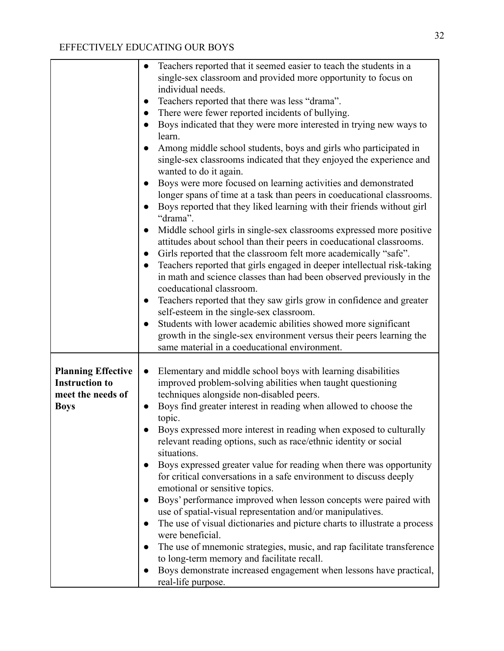|                                                                                        | Teachers reported that it seemed easier to teach the students in a<br>$\bullet$<br>single-sex classroom and provided more opportunity to focus on<br>individual needs.<br>Teachers reported that there was less "drama".<br>$\bullet$<br>There were fewer reported incidents of bullying.<br>Boys indicated that they were more interested in trying new ways to<br>learn.<br>Among middle school students, boys and girls who participated in<br>single-sex classrooms indicated that they enjoyed the experience and<br>wanted to do it again.<br>Boys were more focused on learning activities and demonstrated<br>longer spans of time at a task than peers in coeducational classrooms.<br>Boys reported that they liked learning with their friends without girl<br>"drama".<br>Middle school girls in single-sex classrooms expressed more positive<br>attitudes about school than their peers in coeducational classrooms.<br>Girls reported that the classroom felt more academically "safe".<br>Teachers reported that girls engaged in deeper intellectual risk-taking<br>$\bullet$<br>in math and science classes than had been observed previously in the<br>coeducational classroom.<br>Teachers reported that they saw girls grow in confidence and greater<br>$\bullet$ |
|----------------------------------------------------------------------------------------|-----------------------------------------------------------------------------------------------------------------------------------------------------------------------------------------------------------------------------------------------------------------------------------------------------------------------------------------------------------------------------------------------------------------------------------------------------------------------------------------------------------------------------------------------------------------------------------------------------------------------------------------------------------------------------------------------------------------------------------------------------------------------------------------------------------------------------------------------------------------------------------------------------------------------------------------------------------------------------------------------------------------------------------------------------------------------------------------------------------------------------------------------------------------------------------------------------------------------------------------------------------------------------------------|
|                                                                                        | self-esteem in the single-sex classroom.<br>Students with lower academic abilities showed more significant                                                                                                                                                                                                                                                                                                                                                                                                                                                                                                                                                                                                                                                                                                                                                                                                                                                                                                                                                                                                                                                                                                                                                                              |
|                                                                                        | growth in the single-sex environment versus their peers learning the<br>same material in a coeducational environment.                                                                                                                                                                                                                                                                                                                                                                                                                                                                                                                                                                                                                                                                                                                                                                                                                                                                                                                                                                                                                                                                                                                                                                   |
| <b>Planning Effective</b><br><b>Instruction to</b><br>meet the needs of<br><b>Boys</b> | Elementary and middle school boys with learning disabilities<br>$\bullet$<br>improved problem-solving abilities when taught questioning<br>techniques alongside non-disabled peers.<br>Boys find greater interest in reading when allowed to choose the<br>topic.<br>Boys expressed more interest in reading when exposed to culturally<br>relevant reading options, such as race/ethnic identity or social<br>situations.<br>Boys expressed greater value for reading when there was opportunity<br>for critical conversations in a safe environment to discuss deeply<br>emotional or sensitive topics.<br>Boys' performance improved when lesson concepts were paired with<br>use of spatial-visual representation and/or manipulatives.<br>The use of visual dictionaries and picture charts to illustrate a process<br>were beneficial.<br>The use of mnemonic strategies, music, and rap facilitate transference<br>to long-term memory and facilitate recall.<br>Boys demonstrate increased engagement when lessons have practical,<br>real-life purpose.                                                                                                                                                                                                                        |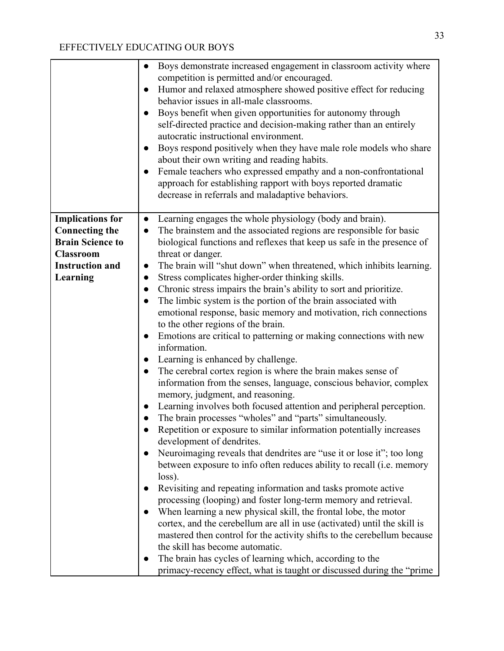|                         | Boys demonstrate increased engagement in classroom activity where<br>competition is permitted and/or encouraged.<br>Humor and relaxed atmosphere showed positive effect for reducing<br>$\bullet$<br>behavior issues in all-male classrooms.<br>Boys benefit when given opportunities for autonomy through<br>self-directed practice and decision-making rather than an entirely<br>autocratic instructional environment.<br>Boys respond positively when they have male role models who share<br>$\bullet$<br>about their own writing and reading habits.<br>Female teachers who expressed empathy and a non-confrontational<br>approach for establishing rapport with boys reported dramatic<br>decrease in referrals and maladaptive behaviors. |
|-------------------------|----------------------------------------------------------------------------------------------------------------------------------------------------------------------------------------------------------------------------------------------------------------------------------------------------------------------------------------------------------------------------------------------------------------------------------------------------------------------------------------------------------------------------------------------------------------------------------------------------------------------------------------------------------------------------------------------------------------------------------------------------|
| <b>Implications for</b> | Learning engages the whole physiology (body and brain).<br>$\bullet$                                                                                                                                                                                                                                                                                                                                                                                                                                                                                                                                                                                                                                                                               |
| <b>Connecting the</b>   | The brainstem and the associated regions are responsible for basic<br>$\bullet$                                                                                                                                                                                                                                                                                                                                                                                                                                                                                                                                                                                                                                                                    |
| <b>Brain Science to</b> | biological functions and reflexes that keep us safe in the presence of                                                                                                                                                                                                                                                                                                                                                                                                                                                                                                                                                                                                                                                                             |
| <b>Classroom</b>        | threat or danger.                                                                                                                                                                                                                                                                                                                                                                                                                                                                                                                                                                                                                                                                                                                                  |
| <b>Instruction and</b>  | The brain will "shut down" when threatened, which inhibits learning.<br>$\bullet$                                                                                                                                                                                                                                                                                                                                                                                                                                                                                                                                                                                                                                                                  |
| Learning                | Stress complicates higher-order thinking skills.<br>$\bullet$                                                                                                                                                                                                                                                                                                                                                                                                                                                                                                                                                                                                                                                                                      |
|                         | Chronic stress impairs the brain's ability to sort and prioritize.<br>$\bullet$                                                                                                                                                                                                                                                                                                                                                                                                                                                                                                                                                                                                                                                                    |
|                         | The limbic system is the portion of the brain associated with<br>$\bullet$                                                                                                                                                                                                                                                                                                                                                                                                                                                                                                                                                                                                                                                                         |
|                         | emotional response, basic memory and motivation, rich connections                                                                                                                                                                                                                                                                                                                                                                                                                                                                                                                                                                                                                                                                                  |
|                         | to the other regions of the brain.                                                                                                                                                                                                                                                                                                                                                                                                                                                                                                                                                                                                                                                                                                                 |
|                         | Emotions are critical to patterning or making connections with new                                                                                                                                                                                                                                                                                                                                                                                                                                                                                                                                                                                                                                                                                 |
|                         | information.                                                                                                                                                                                                                                                                                                                                                                                                                                                                                                                                                                                                                                                                                                                                       |
|                         | Learning is enhanced by challenge.                                                                                                                                                                                                                                                                                                                                                                                                                                                                                                                                                                                                                                                                                                                 |
|                         | The cerebral cortex region is where the brain makes sense of                                                                                                                                                                                                                                                                                                                                                                                                                                                                                                                                                                                                                                                                                       |
|                         | information from the senses, language, conscious behavior, complex                                                                                                                                                                                                                                                                                                                                                                                                                                                                                                                                                                                                                                                                                 |
|                         | memory, judgment, and reasoning.                                                                                                                                                                                                                                                                                                                                                                                                                                                                                                                                                                                                                                                                                                                   |
|                         | Learning involves both focused attention and peripheral perception.                                                                                                                                                                                                                                                                                                                                                                                                                                                                                                                                                                                                                                                                                |
|                         | The brain processes "wholes" and "parts" simultaneously.                                                                                                                                                                                                                                                                                                                                                                                                                                                                                                                                                                                                                                                                                           |
|                         | Repetition or exposure to similar information potentially increases                                                                                                                                                                                                                                                                                                                                                                                                                                                                                                                                                                                                                                                                                |
|                         | development of dendrites.                                                                                                                                                                                                                                                                                                                                                                                                                                                                                                                                                                                                                                                                                                                          |
|                         | Neuroimaging reveals that dendrites are "use it or lose it"; too long                                                                                                                                                                                                                                                                                                                                                                                                                                                                                                                                                                                                                                                                              |
|                         | between exposure to info often reduces ability to recall (i.e. memory                                                                                                                                                                                                                                                                                                                                                                                                                                                                                                                                                                                                                                                                              |
|                         | loss).                                                                                                                                                                                                                                                                                                                                                                                                                                                                                                                                                                                                                                                                                                                                             |
|                         | Revisiting and repeating information and tasks promote active                                                                                                                                                                                                                                                                                                                                                                                                                                                                                                                                                                                                                                                                                      |
|                         | processing (looping) and foster long-term memory and retrieval.                                                                                                                                                                                                                                                                                                                                                                                                                                                                                                                                                                                                                                                                                    |
|                         | When learning a new physical skill, the frontal lobe, the motor                                                                                                                                                                                                                                                                                                                                                                                                                                                                                                                                                                                                                                                                                    |
|                         | cortex, and the cerebellum are all in use (activated) until the skill is                                                                                                                                                                                                                                                                                                                                                                                                                                                                                                                                                                                                                                                                           |
|                         | mastered then control for the activity shifts to the cerebellum because                                                                                                                                                                                                                                                                                                                                                                                                                                                                                                                                                                                                                                                                            |
|                         | the skill has become automatic.                                                                                                                                                                                                                                                                                                                                                                                                                                                                                                                                                                                                                                                                                                                    |
|                         | The brain has cycles of learning which, according to the                                                                                                                                                                                                                                                                                                                                                                                                                                                                                                                                                                                                                                                                                           |
|                         | primacy-recency effect, what is taught or discussed during the "prime"                                                                                                                                                                                                                                                                                                                                                                                                                                                                                                                                                                                                                                                                             |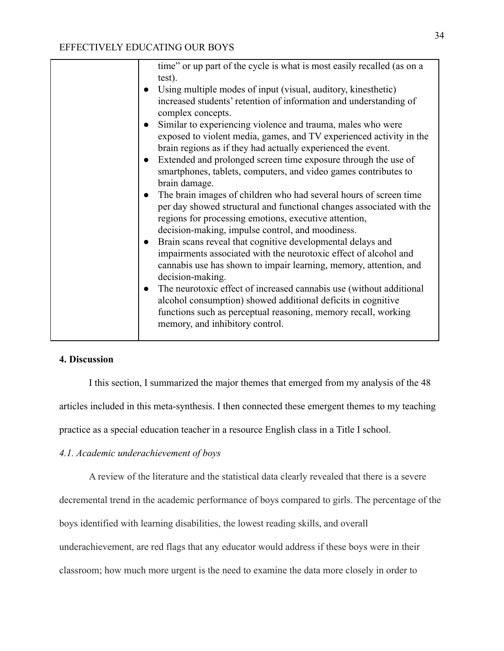|  | time" or up part of the cycle is what is most easily recalled (as on a                                                                           |
|--|--------------------------------------------------------------------------------------------------------------------------------------------------|
|  | test).                                                                                                                                           |
|  | Using multiple modes of input (visual, auditory, kinesthetic)                                                                                    |
|  | increased students' retention of information and understanding of<br>complex concepts.                                                           |
|  | Similar to experiencing violence and trauma, males who were                                                                                      |
|  | exposed to violent media, games, and TV experienced activity in the                                                                              |
|  | brain regions as if they had actually experienced the event.                                                                                     |
|  | Extended and prolonged screen time exposure through the use of<br>$\bullet$                                                                      |
|  | smartphones, tablets, computers, and video games contributes to                                                                                  |
|  | brain damage.                                                                                                                                    |
|  | The brain images of children who had several hours of screen time                                                                                |
|  | per day showed structural and functional changes associated with the                                                                             |
|  | regions for processing emotions, executive attention,                                                                                            |
|  | decision-making, impulse control, and moodiness.                                                                                                 |
|  | Brain scans reveal that cognitive developmental delays and<br>$\bullet$                                                                          |
|  | impairments associated with the neurotoxic effect of alcohol and                                                                                 |
|  | cannabis use has shown to impair learning, memory, attention, and                                                                                |
|  | decision-making.                                                                                                                                 |
|  | The neurotoxic effect of increased cannabis use (without additional<br>$\bullet$<br>alcohol consumption) showed additional deficits in cognitive |
|  | functions such as perceptual reasoning, memory recall, working                                                                                   |
|  | memory, and inhibitory control.                                                                                                                  |
|  |                                                                                                                                                  |
|  |                                                                                                                                                  |

### **4. Discussion**

I this section, I summarized the major themes that emerged from my analysis of the 48 articles included in this meta-synthesis. I then connected these emergent themes to my teaching practice as a special education teacher in a resource English class in a Title I school.

### *4.1. Academic underachievement of boys*

A review of the literature and the statistical data clearly revealed that there is a severe

decremental trend in the academic performance of boys compared to girls. The percentage of the

boys identified with learning disabilities, the lowest reading skills, and overall

underachievement, are red flags that any educator would address if these boys were in their

classroom; how much more urgent is the need to examine the data more closely in order to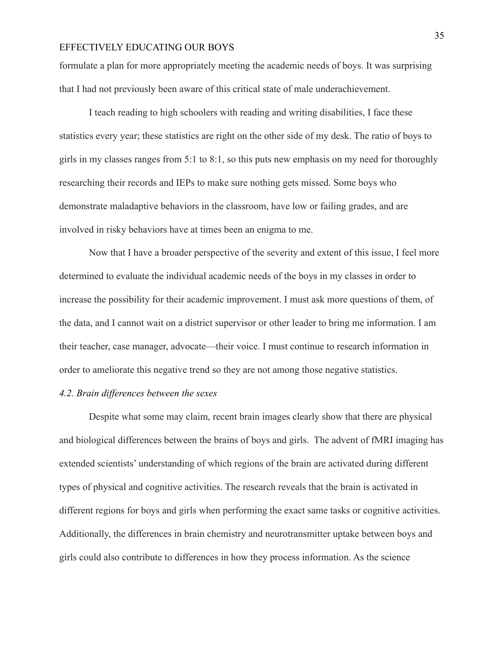formulate a plan for more appropriately meeting the academic needs of boys. It was surprising that I had not previously been aware of this critical state of male underachievement.

I teach reading to high schoolers with reading and writing disabilities, I face these statistics every year; these statistics are right on the other side of my desk. The ratio of boys to girls in my classes ranges from 5:1 to 8:1, so this puts new emphasis on my need for thoroughly researching their records and IEPs to make sure nothing gets missed. Some boys who demonstrate maladaptive behaviors in the classroom, have low or failing grades, and are involved in risky behaviors have at times been an enigma to me.

Now that I have a broader perspective of the severity and extent of this issue, I feel more determined to evaluate the individual academic needs of the boys in my classes in order to increase the possibility for their academic improvement. I must ask more questions of them, of the data, and I cannot wait on a district supervisor or other leader to bring me information. I am their teacher, case manager, advocate—their voice. I must continue to research information in order to ameliorate this negative trend so they are not among those negative statistics.

#### *4.2. Brain differences between the sexes*

Despite what some may claim, recent brain images clearly show that there are physical and biological differences between the brains of boys and girls. The advent of fMRI imaging has extended scientists' understanding of which regions of the brain are activated during different types of physical and cognitive activities. The research reveals that the brain is activated in different regions for boys and girls when performing the exact same tasks or cognitive activities. Additionally, the differences in brain chemistry and neurotransmitter uptake between boys and girls could also contribute to differences in how they process information. As the science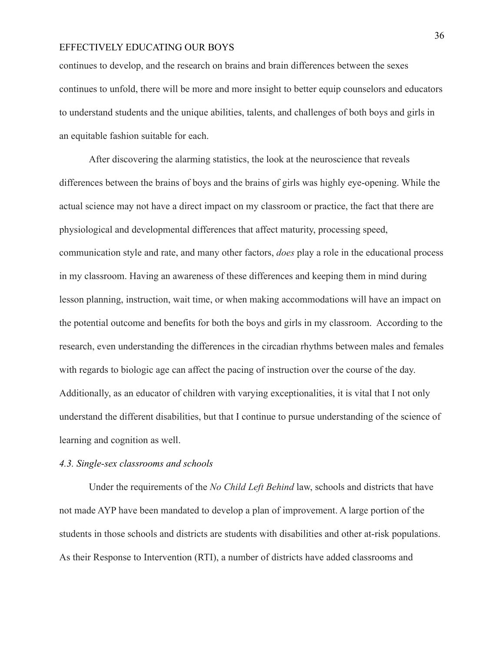continues to develop, and the research on brains and brain differences between the sexes continues to unfold, there will be more and more insight to better equip counselors and educators to understand students and the unique abilities, talents, and challenges of both boys and girls in an equitable fashion suitable for each.

After discovering the alarming statistics, the look at the neuroscience that reveals differences between the brains of boys and the brains of girls was highly eye-opening. While the actual science may not have a direct impact on my classroom or practice, the fact that there are physiological and developmental differences that affect maturity, processing speed, communication style and rate, and many other factors, *does* play a role in the educational process in my classroom. Having an awareness of these differences and keeping them in mind during lesson planning, instruction, wait time, or when making accommodations will have an impact on the potential outcome and benefits for both the boys and girls in my classroom. According to the research, even understanding the differences in the circadian rhythms between males and females with regards to biologic age can affect the pacing of instruction over the course of the day. Additionally, as an educator of children with varying exceptionalities, it is vital that I not only understand the different disabilities, but that I continue to pursue understanding of the science of learning and cognition as well.

#### *4.3. Single-sex classrooms and schools*

Under the requirements of the *No Child Left Behind* law, schools and districts that have not made AYP have been mandated to develop a plan of improvement. A large portion of the students in those schools and districts are students with disabilities and other at-risk populations. As their Response to Intervention (RTI), a number of districts have added classrooms and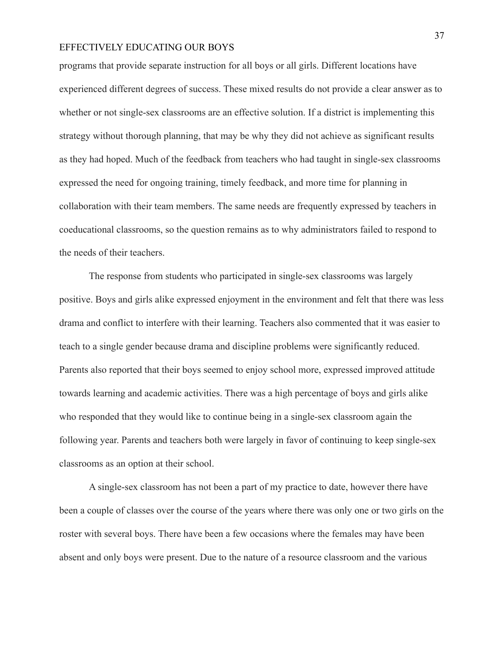programs that provide separate instruction for all boys or all girls. Different locations have experienced different degrees of success. These mixed results do not provide a clear answer as to whether or not single-sex classrooms are an effective solution. If a district is implementing this strategy without thorough planning, that may be why they did not achieve as significant results as they had hoped. Much of the feedback from teachers who had taught in single-sex classrooms expressed the need for ongoing training, timely feedback, and more time for planning in collaboration with their team members. The same needs are frequently expressed by teachers in coeducational classrooms, so the question remains as to why administrators failed to respond to the needs of their teachers.

The response from students who participated in single-sex classrooms was largely positive. Boys and girls alike expressed enjoyment in the environment and felt that there was less drama and conflict to interfere with their learning. Teachers also commented that it was easier to teach to a single gender because drama and discipline problems were significantly reduced. Parents also reported that their boys seemed to enjoy school more, expressed improved attitude towards learning and academic activities. There was a high percentage of boys and girls alike who responded that they would like to continue being in a single-sex classroom again the following year. Parents and teachers both were largely in favor of continuing to keep single-sex classrooms as an option at their school.

A single-sex classroom has not been a part of my practice to date, however there have been a couple of classes over the course of the years where there was only one or two girls on the roster with several boys. There have been a few occasions where the females may have been absent and only boys were present. Due to the nature of a resource classroom and the various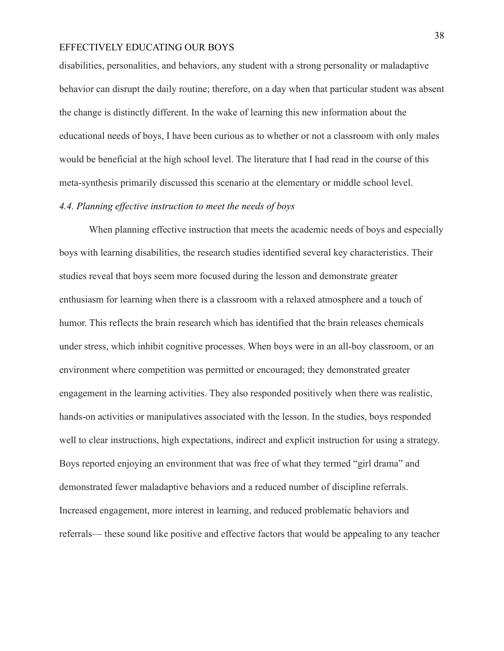disabilities, personalities, and behaviors, any student with a strong personality or maladaptive behavior can disrupt the daily routine; therefore, on a day when that particular student was absent the change is distinctly different. In the wake of learning this new information about the educational needs of boys, I have been curious as to whether or not a classroom with only males would be beneficial at the high school level. The literature that I had read in the course of this meta-synthesis primarily discussed this scenario at the elementary or middle school level.

#### *4.4. Planning effective instruction to meet the needs of boys*

When planning effective instruction that meets the academic needs of boys and especially boys with learning disabilities, the research studies identified several key characteristics. Their studies reveal that boys seem more focused during the lesson and demonstrate greater enthusiasm for learning when there is a classroom with a relaxed atmosphere and a touch of humor. This reflects the brain research which has identified that the brain releases chemicals under stress, which inhibit cognitive processes. When boys were in an all-boy classroom, or an environment where competition was permitted or encouraged; they demonstrated greater engagement in the learning activities. They also responded positively when there was realistic, hands-on activities or manipulatives associated with the lesson. In the studies, boys responded well to clear instructions, high expectations, indirect and explicit instruction for using a strategy. Boys reported enjoying an environment that was free of what they termed "girl drama" and demonstrated fewer maladaptive behaviors and a reduced number of discipline referrals. Increased engagement, more interest in learning, and reduced problematic behaviors and referrals— these sound like positive and effective factors that would be appealing to any teacher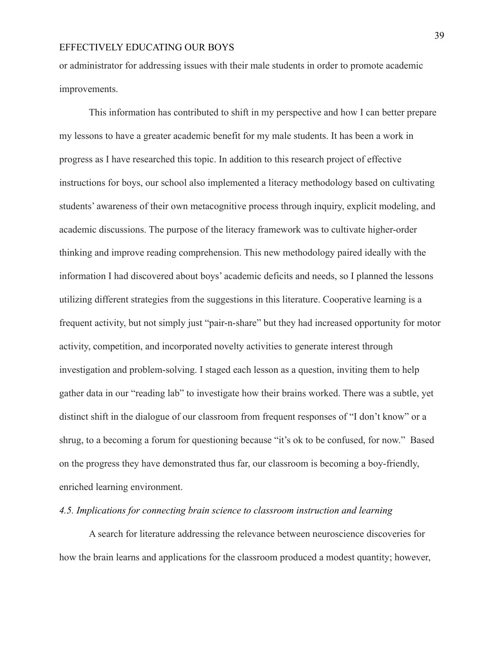or administrator for addressing issues with their male students in order to promote academic improvements.

This information has contributed to shift in my perspective and how I can better prepare my lessons to have a greater academic benefit for my male students. It has been a work in progress as I have researched this topic. In addition to this research project of effective instructions for boys, our school also implemented a literacy methodology based on cultivating students' awareness of their own metacognitive process through inquiry, explicit modeling, and academic discussions. The purpose of the literacy framework was to cultivate higher-order thinking and improve reading comprehension. This new methodology paired ideally with the information I had discovered about boys' academic deficits and needs, so I planned the lessons utilizing different strategies from the suggestions in this literature. Cooperative learning is a frequent activity, but not simply just "pair-n-share" but they had increased opportunity for motor activity, competition, and incorporated novelty activities to generate interest through investigation and problem-solving. I staged each lesson as a question, inviting them to help gather data in our "reading lab" to investigate how their brains worked. There was a subtle, yet distinct shift in the dialogue of our classroom from frequent responses of "I don't know" or a shrug, to a becoming a forum for questioning because "it's ok to be confused, for now." Based on the progress they have demonstrated thus far, our classroom is becoming a boy-friendly, enriched learning environment.

#### *4.5. Implications for connecting brain science to classroom instruction and learning*

A search for literature addressing the relevance between neuroscience discoveries for how the brain learns and applications for the classroom produced a modest quantity; however,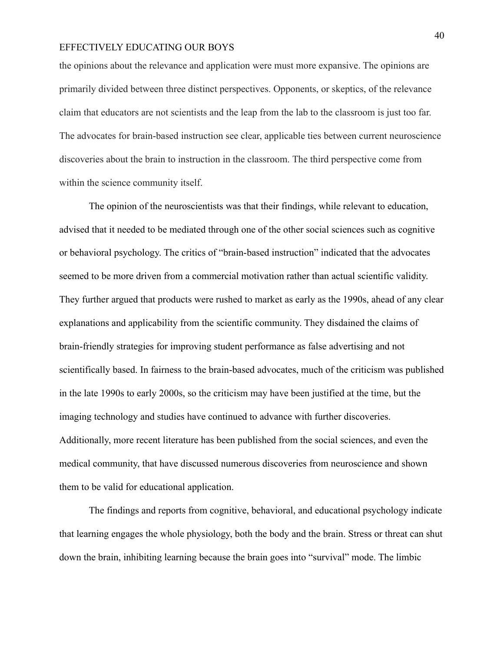the opinions about the relevance and application were must more expansive. The opinions are primarily divided between three distinct perspectives. Opponents, or skeptics, of the relevance claim that educators are not scientists and the leap from the lab to the classroom is just too far. The advocates for brain-based instruction see clear, applicable ties between current neuroscience discoveries about the brain to instruction in the classroom. The third perspective come from within the science community itself.

The opinion of the neuroscientists was that their findings, while relevant to education, advised that it needed to be mediated through one of the other social sciences such as cognitive or behavioral psychology. The critics of "brain-based instruction" indicated that the advocates seemed to be more driven from a commercial motivation rather than actual scientific validity. They further argued that products were rushed to market as early as the 1990s, ahead of any clear explanations and applicability from the scientific community. They disdained the claims of brain-friendly strategies for improving student performance as false advertising and not scientifically based. In fairness to the brain-based advocates, much of the criticism was published in the late 1990s to early 2000s, so the criticism may have been justified at the time, but the imaging technology and studies have continued to advance with further discoveries. Additionally, more recent literature has been published from the social sciences, and even the medical community, that have discussed numerous discoveries from neuroscience and shown them to be valid for educational application.

The findings and reports from cognitive, behavioral, and educational psychology indicate that learning engages the whole physiology, both the body and the brain. Stress or threat can shut down the brain, inhibiting learning because the brain goes into "survival" mode. The limbic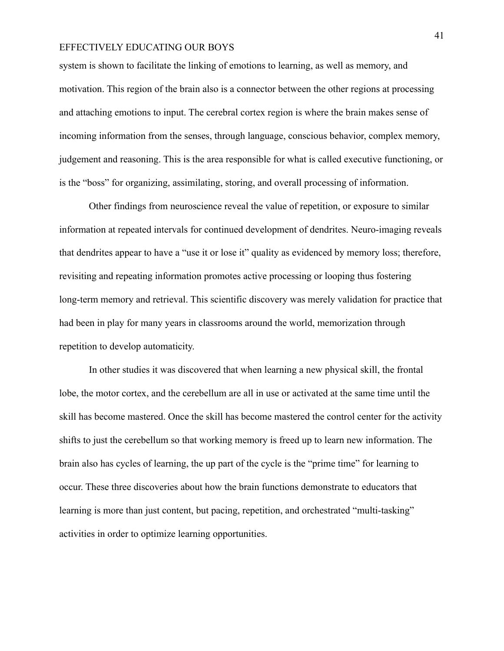system is shown to facilitate the linking of emotions to learning, as well as memory, and motivation. This region of the brain also is a connector between the other regions at processing and attaching emotions to input. The cerebral cortex region is where the brain makes sense of incoming information from the senses, through language, conscious behavior, complex memory, judgement and reasoning. This is the area responsible for what is called executive functioning, or is the "boss" for organizing, assimilating, storing, and overall processing of information.

Other findings from neuroscience reveal the value of repetition, or exposure to similar information at repeated intervals for continued development of dendrites. Neuro-imaging reveals that dendrites appear to have a "use it or lose it" quality as evidenced by memory loss; therefore, revisiting and repeating information promotes active processing or looping thus fostering long-term memory and retrieval. This scientific discovery was merely validation for practice that had been in play for many years in classrooms around the world, memorization through repetition to develop automaticity.

In other studies it was discovered that when learning a new physical skill, the frontal lobe, the motor cortex, and the cerebellum are all in use or activated at the same time until the skill has become mastered. Once the skill has become mastered the control center for the activity shifts to just the cerebellum so that working memory is freed up to learn new information. The brain also has cycles of learning, the up part of the cycle is the "prime time" for learning to occur. These three discoveries about how the brain functions demonstrate to educators that learning is more than just content, but pacing, repetition, and orchestrated "multi-tasking" activities in order to optimize learning opportunities.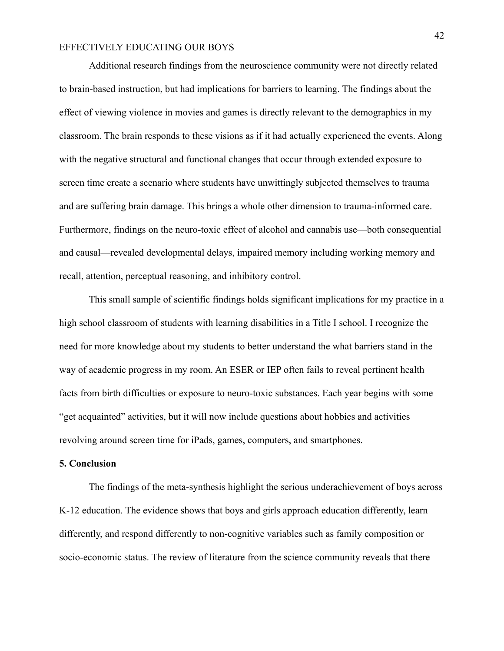Additional research findings from the neuroscience community were not directly related to brain-based instruction, but had implications for barriers to learning. The findings about the effect of viewing violence in movies and games is directly relevant to the demographics in my classroom. The brain responds to these visions as if it had actually experienced the events. Along with the negative structural and functional changes that occur through extended exposure to screen time create a scenario where students have unwittingly subjected themselves to trauma and are suffering brain damage. This brings a whole other dimension to trauma-informed care. Furthermore, findings on the neuro-toxic effect of alcohol and cannabis use—both consequential and causal—revealed developmental delays, impaired memory including working memory and recall, attention, perceptual reasoning, and inhibitory control.

This small sample of scientific findings holds significant implications for my practice in a high school classroom of students with learning disabilities in a Title I school. I recognize the need for more knowledge about my students to better understand the what barriers stand in the way of academic progress in my room. An ESER or IEP often fails to reveal pertinent health facts from birth difficulties or exposure to neuro-toxic substances. Each year begins with some "get acquainted" activities, but it will now include questions about hobbies and activities revolving around screen time for iPads, games, computers, and smartphones.

#### **5. Conclusion**

The findings of the meta-synthesis highlight the serious underachievement of boys across K-12 education. The evidence shows that boys and girls approach education differently, learn differently, and respond differently to non-cognitive variables such as family composition or socio-economic status. The review of literature from the science community reveals that there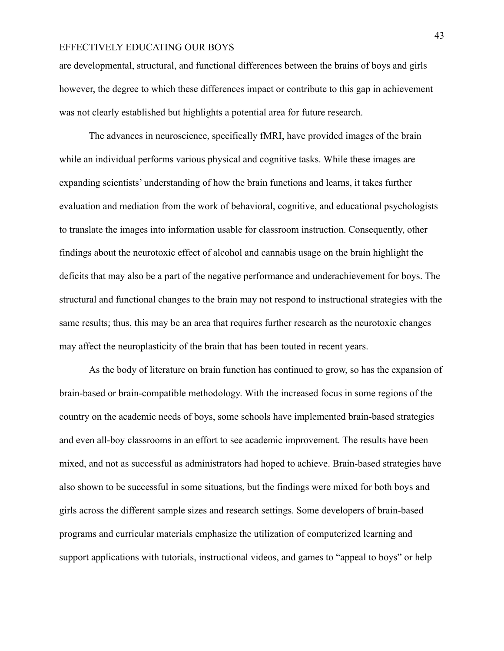are developmental, structural, and functional differences between the brains of boys and girls however, the degree to which these differences impact or contribute to this gap in achievement was not clearly established but highlights a potential area for future research.

The advances in neuroscience, specifically fMRI, have provided images of the brain while an individual performs various physical and cognitive tasks. While these images are expanding scientists' understanding of how the brain functions and learns, it takes further evaluation and mediation from the work of behavioral, cognitive, and educational psychologists to translate the images into information usable for classroom instruction. Consequently, other findings about the neurotoxic effect of alcohol and cannabis usage on the brain highlight the deficits that may also be a part of the negative performance and underachievement for boys. The structural and functional changes to the brain may not respond to instructional strategies with the same results; thus, this may be an area that requires further research as the neurotoxic changes may affect the neuroplasticity of the brain that has been touted in recent years.

As the body of literature on brain function has continued to grow, so has the expansion of brain-based or brain-compatible methodology. With the increased focus in some regions of the country on the academic needs of boys, some schools have implemented brain-based strategies and even all-boy classrooms in an effort to see academic improvement. The results have been mixed, and not as successful as administrators had hoped to achieve. Brain-based strategies have also shown to be successful in some situations, but the findings were mixed for both boys and girls across the different sample sizes and research settings. Some developers of brain-based programs and curricular materials emphasize the utilization of computerized learning and support applications with tutorials, instructional videos, and games to "appeal to boys" or help

43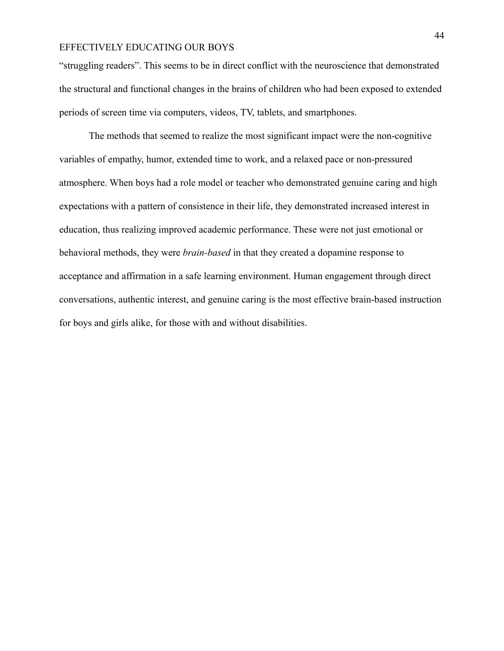"struggling readers". This seems to be in direct conflict with the neuroscience that demonstrated the structural and functional changes in the brains of children who had been exposed to extended periods of screen time via computers, videos, TV, tablets, and smartphones.

The methods that seemed to realize the most significant impact were the non-cognitive variables of empathy, humor, extended time to work, and a relaxed pace or non-pressured atmosphere. When boys had a role model or teacher who demonstrated genuine caring and high expectations with a pattern of consistence in their life, they demonstrated increased interest in education, thus realizing improved academic performance. These were not just emotional or behavioral methods, they were *brain-based* in that they created a dopamine response to acceptance and affirmation in a safe learning environment. Human engagement through direct conversations, authentic interest, and genuine caring is the most effective brain-based instruction for boys and girls alike, for those with and without disabilities.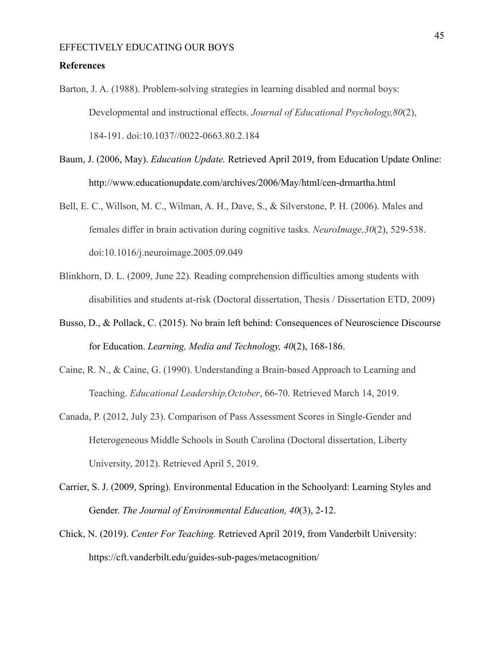#### **References**

- Barton, J. A. (1988). Problem-solving strategies in learning disabled and normal boys: Developmental and instructional effects. *Journal of Educational Psychology,80*(2), 184-191. doi:10.1037//0022-0663.80.2.184
- Baum, J. (2006, May). *Education Update.* Retrieved April 2019, from Education Update Online: http://www.educationupdate.com/archives/2006/May/html/cen-drmartha.html
- Bell, E. C., Willson, M. C., Wilman, A. H., Dave, S., & Silverstone, P. H. (2006). Males and females differ in brain activation during cognitive tasks. *NeuroImage,30*(2), 529-538. doi:10.1016/j.neuroimage.2005.09.049
- Blinkhorn, D. L. (2009, June 22). Reading comprehension difficulties among students with disabilities and students at-risk (Doctoral dissertation, Thesis / Dissertation ETD, 2009)
- Busso, D., & Pollack, C. (2015). No brain left behind: Consequences of Neuroscience Discourse for Education. *Learning, Media and Technology, 40*(2), 168-186.
- Caine, R. N., & Caine, G. (1990). Understanding a Brain-based Approach to Learning and Teaching. *Educational Leadership,October*, 66-70. Retrieved March 14, 2019.
- Canada, P. (2012, July 23). Comparison of Pass Assessment Scores in Single-Gender and Heterogeneous Middle Schools in South Carolina (Doctoral dissertation, Liberty University, 2012). Retrieved April 5, 2019.
- Carrier, S. J. (2009, Spring). Environmental Education in the Schoolyard: Learning Styles and Gender. *The Journal of Environmental Education, 40*(3), 2-12.
- Chick, N. (2019). *Center For Teaching.* Retrieved April 2019, from Vanderbilt University: https://cft.vanderbilt.edu/guides-sub-pages/metacognition/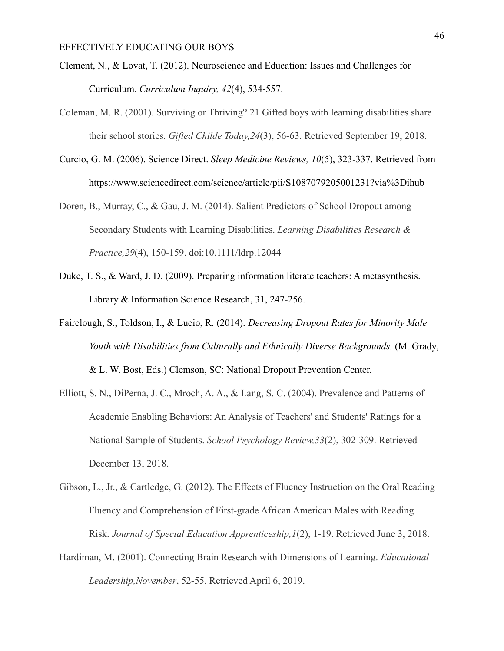- Clement, N., & Lovat, T. (2012). Neuroscience and Education: Issues and Challenges for Curriculum. *Curriculum Inquiry, 42*(4), 534-557.
- Coleman, M. R. (2001). Surviving or Thriving? 21 Gifted boys with learning disabilities share their school stories. *Gifted Childe Today,24*(3), 56-63. Retrieved September 19, 2018.
- Curcio, G. M. (2006). Science Direct. *Sleep Medicine Reviews, 10*(5), 323-337. Retrieved from https://www.sciencedirect.com/science/article/pii/S1087079205001231?via%3Dihub
- Doren, B., Murray, C., & Gau, J. M. (2014). Salient Predictors of School Dropout among Secondary Students with Learning Disabilities. *Learning Disabilities Research & Practice,29*(4), 150-159. doi:10.1111/ldrp.12044
- Duke, T. S., & Ward, J. D. (2009). Preparing information literate teachers: A metasynthesis. Library & Information Science Research, 31, 247-256.
- Fairclough, S., Toldson, I., & Lucio, R. (2014). *Decreasing Dropout Rates for Minority Male Youth with Disabilities from Culturally and Ethnically Diverse Backgrounds.* (M. Grady, & L. W. Bost, Eds.) Clemson, SC: National Dropout Prevention Center.
- Elliott, S. N., DiPerna, J. C., Mroch, A. A., & Lang, S. C. (2004). Prevalence and Patterns of Academic Enabling Behaviors: An Analysis of Teachers' and Students' Ratings for a National Sample of Students. *School Psychology Review,33*(2), 302-309. Retrieved December 13, 2018.
- Gibson, L., Jr., & Cartledge, G. (2012). The Effects of Fluency Instruction on the Oral Reading Fluency and Comprehension of First-grade African American Males with Reading Risk. *Journal of Special Education Apprenticeship,1*(2), 1-19. Retrieved June 3, 2018.
- Hardiman, M. (2001). Connecting Brain Research with Dimensions of Learning. *Educational Leadership,November*, 52-55. Retrieved April 6, 2019.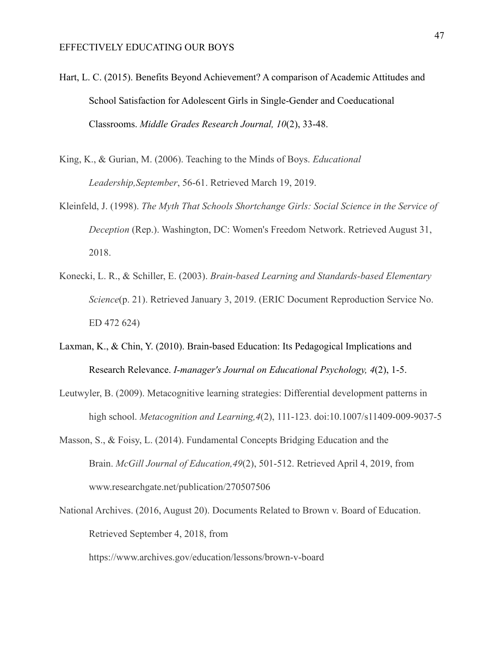- Hart, L. C. (2015). Benefits Beyond Achievement? A comparison of Academic Attitudes and School Satisfaction for Adolescent Girls in Single-Gender and Coeducational Classrooms. *Middle Grades Research Journal, 10*(2), 33-48.
- King, K., & Gurian, M. (2006). Teaching to the Minds of Boys. *Educational Leadership,September*, 56-61. Retrieved March 19, 2019.
- Kleinfeld, J. (1998). *The Myth That Schools Shortchange Girls: Social Science in the Service of Deception* (Rep.). Washington, DC: Women's Freedom Network. Retrieved August 31, 2018.
- Konecki, L. R., & Schiller, E. (2003). *Brain-based Learning and Standards-based Elementary Science*(p. 21). Retrieved January 3, 2019. (ERIC Document Reproduction Service No. ED 472 624)
- Laxman, K., & Chin, Y. (2010). Brain-based Education: Its Pedagogical Implications and Research Relevance. *I-manager's Journal on Educational Psychology, 4*(2), 1-5.
- Leutwyler, B. (2009). Metacognitive learning strategies: Differential development patterns in high school. *Metacognition and Learning,4*(2), 111-123. doi:10.1007/s11409-009-9037-5
- Masson, S., & Foisy, L. (2014). Fundamental Concepts Bridging Education and the Brain. *McGill Journal of Education,49*(2), 501-512. Retrieved April 4, 2019, from www.researchgate.net/publication/270507506
- National Archives. (2016, August 20). Documents Related to Brown v. Board of Education. Retrieved September 4, 2018, from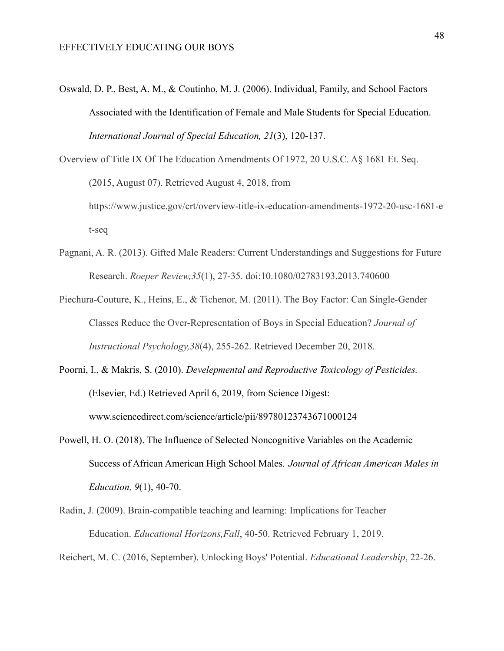Oswald, D. P., Best, A. M., & Coutinho, M. J. (2006). Individual, Family, and School Factors Associated with the Identification of Female and Male Students for Special Education. *International Journal of Special Education, 21*(3), 120-137.

Overview of Title IX Of The Education Amendments Of 1972, 20 U.S.C. A§ 1681 Et. Seq. (2015, August 07). Retrieved August 4, 2018, from https://www.justice.gov/crt/overview-title-ix-education-amendments-1972-20-usc-1681-e t-seq

- Pagnani, A. R. (2013). Gifted Male Readers: Current Understandings and Suggestions for Future Research. *Roeper Review,35*(1), 27-35. doi:10.1080/02783193.2013.740600
- Piechura-Couture, K., Heins, E., & Tichenor, M. (2011). The Boy Factor: Can Single-Gender Classes Reduce the Over-Representation of Boys in Special Education? *Journal of Instructional Psychology,38*(4), 255-262. Retrieved December 20, 2018.
- Poorni, I., & Makris, S. (2010). *Develepmental and Reproductive Toxicology of Pesticides.* (Elsevier, Ed.) Retrieved April 6, 2019, from Science Digest: www.sciencedirect.com/science/article/pii/89780123743671000124
- Powell, H. O. (2018). The Influence of Selected Noncognitive Variables on the Academic Success of African American High School Males. *Journal of African American Males in Education, 9*(1), 40-70.
- Radin, J. (2009). Brain-compatible teaching and learning: Implications for Teacher Education. *Educational Horizons,Fall*, 40-50. Retrieved February 1, 2019.

Reichert, M. C. (2016, September). Unlocking Boys' Potential. *Educational Leadership*, 22-26.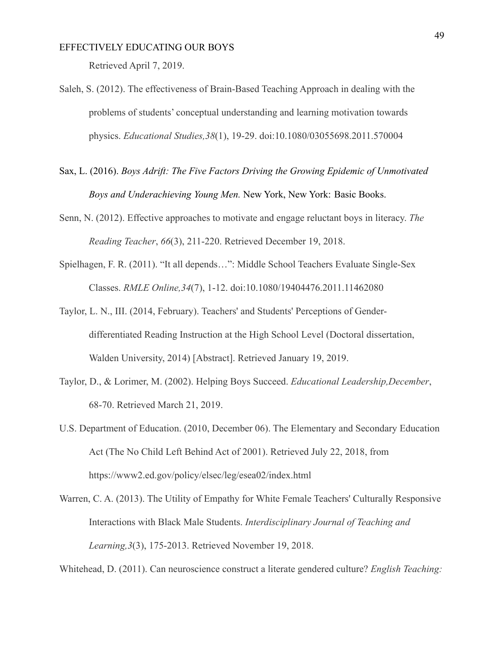Retrieved April 7, 2019.

- Saleh, S. (2012). The effectiveness of Brain-Based Teaching Approach in dealing with the problems of students' conceptual understanding and learning motivation towards physics. *Educational Studies,38*(1), 19-29. doi:10.1080/03055698.2011.570004
- Sax, L. (2016). *Boys Adrift: The Five Factors Driving the Growing Epidemic of Unmotivated Boys and Underachieving Young Men.* New York, New York: Basic Books.
- Senn, N. (2012). Effective approaches to motivate and engage reluctant boys in literacy. *The Reading Teacher*, *66*(3), 211-220. Retrieved December 19, 2018.
- Spielhagen, F. R. (2011). "It all depends…": Middle School Teachers Evaluate Single-Sex Classes. *RMLE Online,34*(7), 1-12. doi:10.1080/19404476.2011.11462080
- Taylor, L. N., III. (2014, February). Teachers' and Students' Perceptions of Genderdifferentiated Reading Instruction at the High School Level (Doctoral dissertation, Walden University, 2014) [Abstract]. Retrieved January 19, 2019.
- Taylor, D., & Lorimer, M. (2002). Helping Boys Succeed. *Educational Leadership,December*, 68-70. Retrieved March 21, 2019.
- U.S. Department of Education. (2010, December 06). The Elementary and Secondary Education Act (The No Child Left Behind Act of 2001). Retrieved July 22, 2018, from https://www2.ed.gov/policy/elsec/leg/esea02/index.html
- Warren, C. A. (2013). The Utility of Empathy for White Female Teachers' Culturally Responsive Interactions with Black Male Students. *Interdisciplinary Journal of Teaching and Learning,3*(3), 175-2013. Retrieved November 19, 2018.

Whitehead, D. (2011). Can neuroscience construct a literate gendered culture? *English Teaching:*